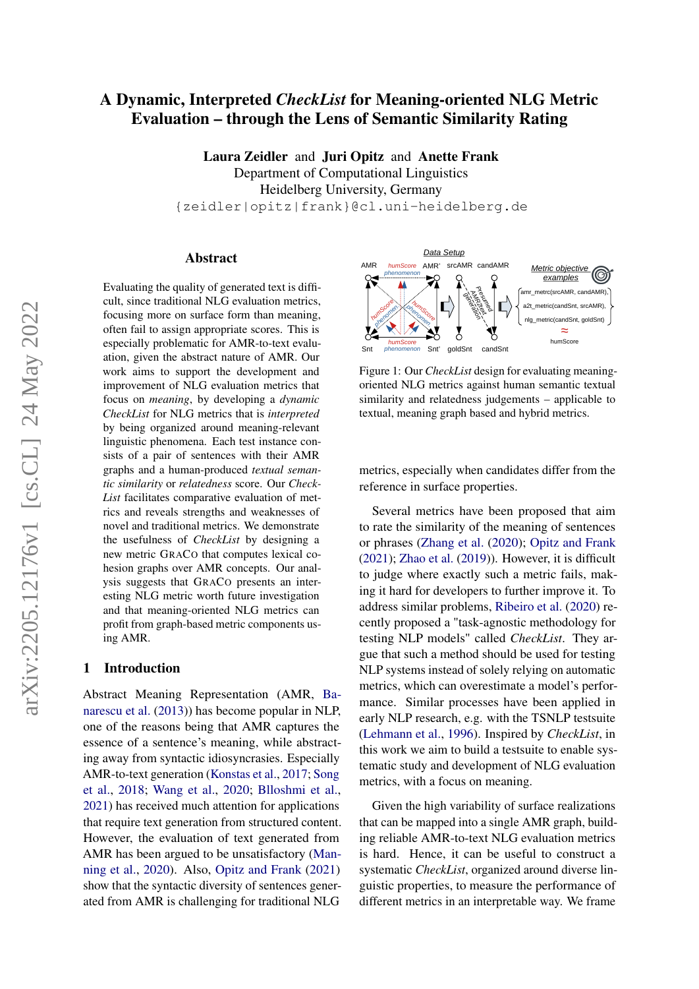# A Dynamic, Interpreted *CheckList* for Meaning-oriented NLG Metric Evaluation – through the Lens of Semantic Similarity Rating

Laura Zeidler and Juri Opitz and Anette Frank Department of Computational Linguistics Heidelberg University, Germany {zeidler|opitz|frank}@cl.uni-heidelberg.de

#### Abstract

Evaluating the quality of generated text is difficult, since traditional NLG evaluation metrics, focusing more on surface form than meaning, often fail to assign appropriate scores. This is especially problematic for AMR-to-text evaluation, given the abstract nature of AMR. Our work aims to support the development and improvement of NLG evaluation metrics that focus on *meaning*, by developing a *dynamic CheckList* for NLG metrics that is *interpreted* by being organized around meaning-relevant linguistic phenomena. Each test instance consists of a pair of sentences with their AMR graphs and a human-produced *textual semantic similarity* or *relatedness* score. Our *Check-List* facilitates comparative evaluation of metrics and reveals strengths and weaknesses of novel and traditional metrics. We demonstrate the usefulness of *CheckList* by designing a new metric GRACO that computes lexical cohesion graphs over AMR concepts. Our analysis suggests that GRACO presents an interesting NLG metric worth future investigation and that meaning-oriented NLG metrics can profit from graph-based metric components using AMR.

#### 1 Introduction

Abstract Meaning Representation (AMR, [Ba](#page-9-0)[narescu et al.](#page-9-0) [\(2013\)](#page-9-0)) has become popular in NLP, one of the reasons being that AMR captures the essence of a sentence's meaning, while abstracting away from syntactic idiosyncrasies. Especially AMR-to-text generation [\(Konstas et al.,](#page-10-0) [2017;](#page-10-0) [Song](#page-11-0) [et al.,](#page-11-0) [2018;](#page-11-0) [Wang et al.,](#page-11-1) [2020;](#page-11-1) [Blloshmi et al.,](#page-9-1) [2021\)](#page-9-1) has received much attention for applications that require text generation from structured content. However, the evaluation of text generated from AMR has been argued to be unsatisfactory [\(Man](#page-10-1)[ning et al.,](#page-10-1) [2020\)](#page-10-1). Also, [Opitz and Frank](#page-10-2) [\(2021\)](#page-10-2) show that the syntactic diversity of sentences generated from AMR is challenging for traditional NLG

<span id="page-0-0"></span>

Figure 1: Our *CheckList* design for evaluating meaningoriented NLG metrics against human semantic textual similarity and relatedness judgements – applicable to textual, meaning graph based and hybrid metrics.

metrics, especially when candidates differ from the reference in surface properties.

Several metrics have been proposed that aim to rate the similarity of the meaning of sentences or phrases [\(Zhang et al.](#page-11-2) [\(2020\)](#page-11-2); [Opitz and Frank](#page-10-2) [\(2021\)](#page-10-2); [Zhao et al.](#page-11-3) [\(2019\)](#page-11-3)). However, it is difficult to judge where exactly such a metric fails, making it hard for developers to further improve it. To address similar problems, [Ribeiro et al.](#page-10-3) [\(2020\)](#page-10-3) recently proposed a "task-agnostic methodology for testing NLP models" called *CheckList*. They argue that such a method should be used for testing NLP systems instead of solely relying on automatic metrics, which can overestimate a model's performance. Similar processes have been applied in early NLP research, e.g. with the TSNLP testsuite [\(Lehmann et al.,](#page-10-4) [1996\)](#page-10-4). Inspired by *CheckList*, in this work we aim to build a testsuite to enable systematic study and development of NLG evaluation metrics, with a focus on meaning.

Given the high variability of surface realizations that can be mapped into a single AMR graph, building reliable AMR-to-text NLG evaluation metrics is hard. Hence, it can be useful to construct a systematic *CheckList*, organized around diverse linguistic properties, to measure the performance of different metrics in an interpretable way. We frame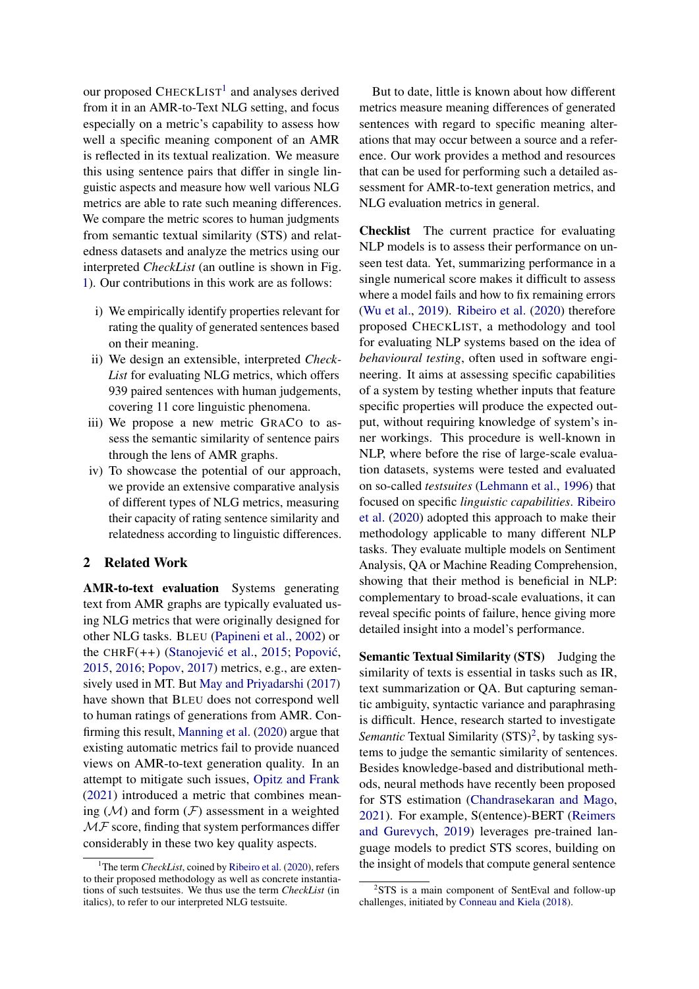our proposed CHECKLIST<sup>[1](#page-1-0)</sup> and analyses derived from it in an AMR-to-Text NLG setting, and focus especially on a metric's capability to assess how well a specific meaning component of an AMR is reflected in its textual realization. We measure this using sentence pairs that differ in single linguistic aspects and measure how well various NLG metrics are able to rate such meaning differences. We compare the metric scores to human judgments from semantic textual similarity (STS) and relatedness datasets and analyze the metrics using our interpreted *CheckList* (an outline is shown in Fig. [1\)](#page-0-0). Our contributions in this work are as follows:

- i) We empirically identify properties relevant for rating the quality of generated sentences based on their meaning.
- ii) We design an extensible, interpreted *Check-List* for evaluating NLG metrics, which offers 939 paired sentences with human judgements, covering 11 core linguistic phenomena.
- iii) We propose a new metric GRACO to assess the semantic similarity of sentence pairs through the lens of AMR graphs.
- iv) To showcase the potential of our approach, we provide an extensive comparative analysis of different types of NLG metrics, measuring their capacity of rating sentence similarity and relatedness according to linguistic differences.

# 2 Related Work

AMR-to-text evaluation Systems generating text from AMR graphs are typically evaluated using NLG metrics that were originally designed for other NLG tasks. BLEU [\(Papineni et al.,](#page-10-5) [2002\)](#page-10-5) or the CHRF $(++)$  (Stanojević et al., [2015;](#page-11-4) Popović, [2015,](#page-10-6) [2016;](#page-10-7) [Popov,](#page-10-8) [2017\)](#page-10-8) metrics, e.g., are extensively used in MT. But [May and Priyadarshi](#page-10-9) [\(2017\)](#page-10-9) have shown that BLEU does not correspond well to human ratings of generations from AMR. Confirming this result, [Manning et al.](#page-10-1) [\(2020\)](#page-10-1) argue that existing automatic metrics fail to provide nuanced views on AMR-to-text generation quality. In an attempt to mitigate such issues, [Opitz and Frank](#page-10-2) [\(2021\)](#page-10-2) introduced a metric that combines meaning  $(M)$  and form  $(F)$  assessment in a weighted  $\mathcal{MF}$  score, finding that system performances differ considerably in these two key quality aspects.

But to date, little is known about how different metrics measure meaning differences of generated sentences with regard to specific meaning alterations that may occur between a source and a reference. Our work provides a method and resources that can be used for performing such a detailed assessment for AMR-to-text generation metrics, and NLG evaluation metrics in general.

Checklist The current practice for evaluating NLP models is to assess their performance on unseen test data. Yet, summarizing performance in a single numerical score makes it difficult to assess where a model fails and how to fix remaining errors [\(Wu et al.,](#page-11-5) [2019\)](#page-11-5). [Ribeiro et al.](#page-10-3) [\(2020\)](#page-10-3) therefore proposed CHECKLIST, a methodology and tool for evaluating NLP systems based on the idea of *behavioural testing*, often used in software engineering. It aims at assessing specific capabilities of a system by testing whether inputs that feature specific properties will produce the expected output, without requiring knowledge of system's inner workings. This procedure is well-known in NLP, where before the rise of large-scale evaluation datasets, systems were tested and evaluated on so-called *testsuites* [\(Lehmann et al.,](#page-10-4) [1996\)](#page-10-4) that focused on specific *linguistic capabilities*. [Ribeiro](#page-10-3) [et al.](#page-10-3) [\(2020\)](#page-10-3) adopted this approach to make their methodology applicable to many different NLP tasks. They evaluate multiple models on Sentiment Analysis, QA or Machine Reading Comprehension, showing that their method is beneficial in NLP: complementary to broad-scale evaluations, it can reveal specific points of failure, hence giving more detailed insight into a model's performance.

Semantic Textual Similarity (STS) Judging the similarity of texts is essential in tasks such as IR, text summarization or QA. But capturing semantic ambiguity, syntactic variance and paraphrasing is difficult. Hence, research started to investigate Semantic Textual Similarity (STS)<sup>[2](#page-1-1)</sup>, by tasking systems to judge the semantic similarity of sentences. Besides knowledge-based and distributional methods, neural methods have recently been proposed for STS estimation [\(Chandrasekaran and Mago,](#page-9-2) [2021\)](#page-9-2). For example, S(entence)-BERT [\(Reimers](#page-10-10) [and Gurevych,](#page-10-10) [2019\)](#page-10-10) leverages pre-trained language models to predict STS scores, building on the insight of models that compute general sentence

<span id="page-1-0"></span><sup>&</sup>lt;sup>1</sup>The term *CheckList*, coined by [Ribeiro et al.](#page-10-3) [\(2020\)](#page-10-3), refers to their proposed methodology as well as concrete instantiations of such testsuites. We thus use the term *CheckList* (in italics), to refer to our interpreted NLG testsuite.

<span id="page-1-1"></span><sup>&</sup>lt;sup>2</sup>STS is a main component of SentEval and follow-up challenges, initiated by [Conneau and Kiela](#page-9-3) [\(2018\)](#page-9-3).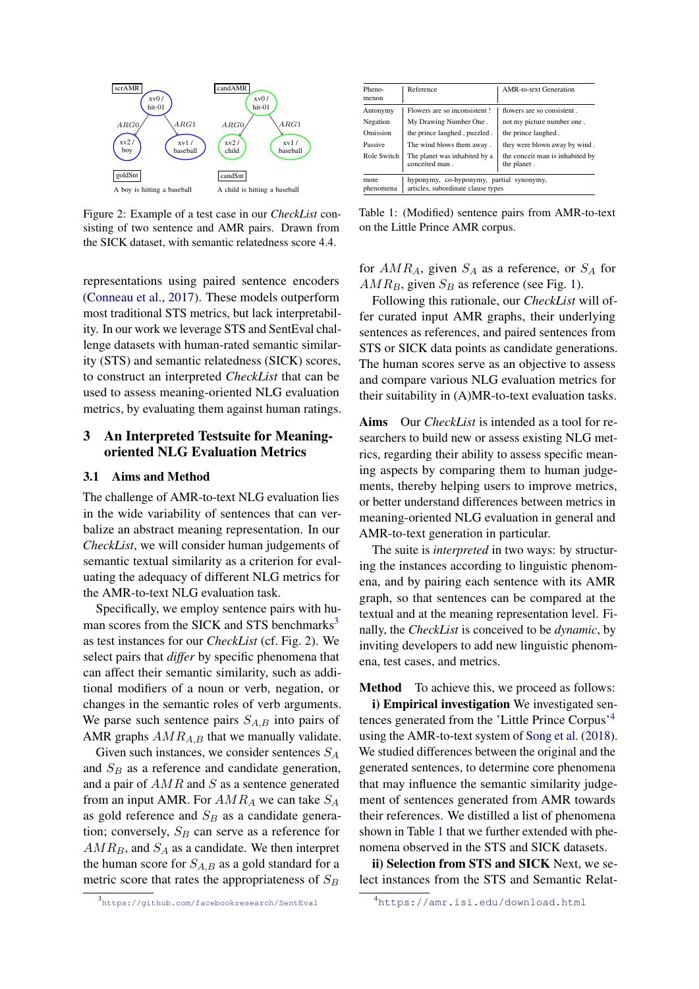<span id="page-2-1"></span>

Figure 2: Example of a test case in our *CheckList* consisting of two sentence and AMR pairs. Drawn from the SICK dataset, with semantic relatedness score 4.4.

representations using paired sentence encoders [\(Conneau et al.,](#page-9-4) [2017\)](#page-9-4). These models outperform most traditional STS metrics, but lack interpretability. In our work we leverage STS and SentEval challenge datasets with human-rated semantic similarity (STS) and semantic relatedness (SICK) scores, to construct an interpreted *CheckList* that can be used to assess meaning-oriented NLG evaluation metrics, by evaluating them against human ratings.

# 3 An Interpreted Testsuite for Meaningoriented NLG Evaluation Metrics

#### <span id="page-2-4"></span>3.1 Aims and Method

The challenge of AMR-to-text NLG evaluation lies in the wide variability of sentences that can verbalize an abstract meaning representation. In our *CheckList*, we will consider human judgements of semantic textual similarity as a criterion for evaluating the adequacy of different NLG metrics for the AMR-to-text NLG evaluation task.

Specifically, we employ sentence pairs with human scores from the SICK and STS benchmarks $3$ as test instances for our *CheckList* (cf. Fig. [2\)](#page-2-1). We select pairs that *differ* by specific phenomena that can affect their semantic similarity, such as additional modifiers of a noun or verb, negation, or changes in the semantic roles of verb arguments. We parse such sentence pairs  $S_{A,B}$  into pairs of AMR graphs  $AMR_{A,B}$  that we manually validate.

Given such instances, we consider sentences  $S_A$ and  $S_B$  as a reference and candidate generation, and a pair of  $AMR$  and S as a sentence generated from an input AMR. For  $AMR_A$  we can take  $S_A$ as gold reference and  $S_B$  as a candidate generation; conversely,  $S_B$  can serve as a reference for  $AMR_B$ , and  $S_A$  as a candidate. We then interpret the human score for  $S_{A,B}$  as a gold standard for a metric score that rates the appropriateness of  $S_B$ 

<span id="page-2-3"></span>

| Pheno-<br>menon                                                                                     | Reference                                       | <b>AMR-to-text Generation</b>                  |  |  |  |  |  |
|-----------------------------------------------------------------------------------------------------|-------------------------------------------------|------------------------------------------------|--|--|--|--|--|
| Antonymy                                                                                            | Flowers are so inconsistent!                    | flowers are so consistent.                     |  |  |  |  |  |
| Negation                                                                                            | My Drawing Number One.                          | not my picture number one.                     |  |  |  |  |  |
| Omission                                                                                            | the prince laughed, puzzled.                    | the prince laughed.                            |  |  |  |  |  |
| Passive                                                                                             | The wind blows them away.                       | they were blown away by wind.                  |  |  |  |  |  |
| Role Switch                                                                                         | The planet was inhabited by a<br>conceited man. | the conceit man is inhabited by<br>the planet. |  |  |  |  |  |
| hyponymy, co-hyponymy, partial synonymy,<br>more<br>articles, subordinate clause types<br>phenomena |                                                 |                                                |  |  |  |  |  |

Table 1: (Modified) sentence pairs from AMR-to-text on the Little Prince AMR corpus.

for  $AMR<sub>A</sub>$ , given  $S<sub>A</sub>$  as a reference, or  $S<sub>A</sub>$  for  $AMR_B$ , given  $S_B$  as reference (see Fig. [1\)](#page-0-0).

Following this rationale, our *CheckList* will offer curated input AMR graphs, their underlying sentences as references, and paired sentences from STS or SICK data points as candidate generations. The human scores serve as an objective to assess and compare various NLG evaluation metrics for their suitability in (A)MR-to-text evaluation tasks.

Aims Our *CheckList* is intended as a tool for researchers to build new or assess existing NLG metrics, regarding their ability to assess specific meaning aspects by comparing them to human judgements, thereby helping users to improve metrics, or better understand differences between metrics in meaning-oriented NLG evaluation in general and AMR-to-text generation in particular.

The suite is *interpreted* in two ways: by structuring the instances according to linguistic phenomena, and by pairing each sentence with its AMR graph, so that sentences can be compared at the textual and at the meaning representation level. Finally, the *CheckList* is conceived to be *dynamic*, by inviting developers to add new linguistic phenomena, test cases, and metrics.

Method To achieve this, we proceed as follows:

i) Empirical investigation We investigated sentences generated from the 'Little Prince Corpus'[4](#page-2-2) using the AMR-to-text system of [Song et al.](#page-11-0) [\(2018\)](#page-11-0). We studied differences between the original and the generated sentences, to determine core phenomena that may influence the semantic similarity judgement of sentences generated from AMR towards their references. We distilled a list of phenomena shown in Table [1](#page-2-3) that we further extended with phenomena observed in the STS and SICK datasets.

<span id="page-2-2"></span>ii) Selection from STS and SICK Next, we select instances from the STS and Semantic Relat-

<span id="page-2-0"></span><sup>3</sup> <https://github.com/facebookresearch/SentEval>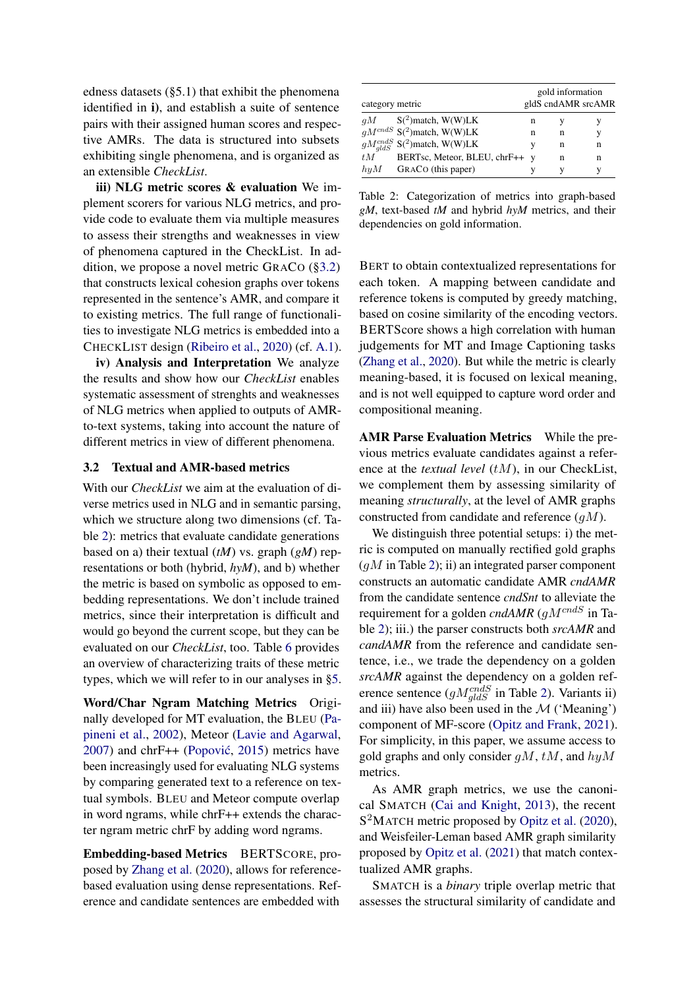edness datasets (§5.1) that exhibit the phenomena identified in i), and establish a suite of sentence pairs with their assigned human scores and respective AMRs. The data is structured into subsets exhibiting single phenomena, and is organized as an extensible *CheckList*.

iii) NLG metric scores & evaluation We implement scorers for various NLG metrics, and provide code to evaluate them via multiple measures to assess their strengths and weaknesses in view of phenomena captured in the CheckList. In addition, we propose a novel metric GRACO ([§3.2\)](#page-3-0) that constructs lexical cohesion graphs over tokens represented in the sentence's AMR, and compare it to existing metrics. The full range of functionalities to investigate NLG metrics is embedded into a CHECKLIST design [\(Ribeiro et al.,](#page-10-3) [2020\)](#page-10-3) (cf. [A.1\)](#page-11-6).

iv) Analysis and Interpretation We analyze the results and show how our *CheckList* enables systematic assessment of strenghts and weaknesses of NLG metrics when applied to outputs of AMRto-text systems, taking into account the nature of different metrics in view of different phenomena.

#### <span id="page-3-0"></span>3.2 Textual and AMR-based metrics

With our *CheckList* we aim at the evaluation of diverse metrics used in NLG and in semantic parsing, which we structure along two dimensions (cf. Table [2\)](#page-3-1): metrics that evaluate candidate generations based on a) their textual (*tM*) vs. graph (*gM*) representations or both (hybrid, *hyM*), and b) whether the metric is based on symbolic as opposed to embedding representations. We don't include trained metrics, since their interpretation is difficult and would go beyond the current scope, but they can be evaluated on our *CheckList*, too. Table [6](#page-8-0) provides an overview of characterizing traits of these metric types, which we will refer to in our analyses in [§5.](#page-5-0)

Word/Char Ngram Matching Metrics Originally developed for MT evaluation, the BLEU [\(Pa](#page-10-5)[pineni et al.,](#page-10-5) [2002\)](#page-10-5), Meteor [\(Lavie and Agarwal,](#page-10-11)  $2007$ ) and chrF++ (Popović, [2015\)](#page-10-6) metrics have been increasingly used for evaluating NLG systems by comparing generated text to a reference on textual symbols. BLEU and Meteor compute overlap in word ngrams, while chrF++ extends the character ngram metric chrF by adding word ngrams.

Embedding-based Metrics BERTSCORE, proposed by [Zhang et al.](#page-11-2) [\(2020\)](#page-11-2), allows for referencebased evaluation using dense representations. Reference and candidate sentences are embedded with

<span id="page-3-1"></span>

| category metric |                                                   |   | gold information | gldS cndAMR srcAMR |
|-----------------|---------------------------------------------------|---|------------------|--------------------|
|                 | $qM$ S( <sup>2</sup> )match, W(W)LK               | n |                  |                    |
|                 | $gM^{cndS}$ S( <sup>2</sup> )match, W(W)LK        | n | n                | y                  |
|                 | $gM_{qldS}^{cndS}$ S( <sup>2</sup> )match, W(W)LK | v | n                | n                  |
|                 | $tM$ BERTsc, Meteor, BLEU, chrF++ y               |   | n                | n                  |
| $h \nu M$       | GRACO (this paper)                                |   |                  |                    |

Table 2: Categorization of metrics into graph-based *gM*, text-based *tM* and hybrid *hyM* metrics, and their dependencies on gold information.

BERT to obtain contextualized representations for each token. A mapping between candidate and reference tokens is computed by greedy matching, based on cosine similarity of the encoding vectors. BERTScore shows a high correlation with human judgements for MT and Image Captioning tasks [\(Zhang et al.,](#page-11-2) [2020\)](#page-11-2). But while the metric is clearly meaning-based, it is focused on lexical meaning, and is not well equipped to capture word order and compositional meaning.

AMR Parse Evaluation Metrics While the previous metrics evaluate candidates against a reference at the *textual level* (*tM*), in our CheckList, we complement them by assessing similarity of meaning *structurally*, at the level of AMR graphs constructed from candidate and reference  $(qM)$ .

We distinguish three potential setups: i) the metric is computed on manually rectified gold graphs  $(gM \text{ in Table 2});$  ii) an integrated parser component constructs an automatic candidate AMR *cndAMR* from the candidate sentence *cndSnt* to alleviate the requirement for a golden *cndAMR* ( $qM^{cndS}$  in Table [2\)](#page-3-1); iii.) the parser constructs both *srcAMR* and *candAMR* from the reference and candidate sentence, i.e., we trade the dependency on a golden *srcAMR* against the dependency on a golden reference sentence ( $gM_{gldS}^{cndS}$  in Table [2\)](#page-3-1). Variants ii) and iii) have also been used in the  $\mathcal M$  ('Meaning') component of MF-score [\(Opitz and Frank,](#page-10-2) [2021\)](#page-10-2). For simplicity, in this paper, we assume access to gold graphs and only consider  $gM$ ,  $tM$ , and  $hyM$ metrics.

As AMR graph metrics, we use the canonical SMATCH [\(Cai and Knight,](#page-9-5) [2013\)](#page-9-5), the recent S<sup>2</sup>MATCH metric proposed by [Opitz et al.](#page-10-12) [\(2020\)](#page-10-12), and Weisfeiler-Leman based AMR graph similarity proposed by [Opitz et al.](#page-10-13) [\(2021\)](#page-10-13) that match contextualized AMR graphs.

SMATCH is a *binary* triple overlap metric that assesses the structural similarity of candidate and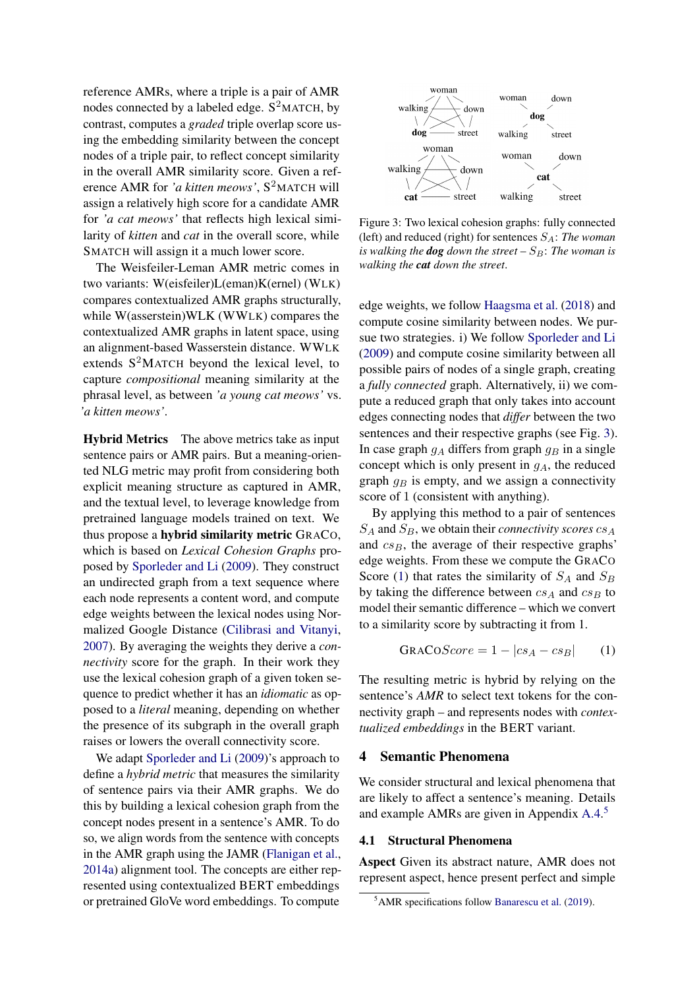reference AMRs, where a triple is a pair of AMR nodes connected by a labeled edge.  $S^2$ MATCH, by contrast, computes a *graded* triple overlap score using the embedding similarity between the concept nodes of a triple pair, to reflect concept similarity in the overall AMR similarity score. Given a reference AMR for *'a kitten meows'*, S <sup>2</sup>MATCH will assign a relatively high score for a candidate AMR for *'a cat meows'* that reflects high lexical similarity of *kitten* and *cat* in the overall score, while SMATCH will assign it a much lower score.

The Weisfeiler-Leman AMR metric comes in two variants: W(eisfeiler)L(eman)K(ernel) (WLK) compares contextualized AMR graphs structurally, while W(asserstein)WLK (WWLK) compares the contextualized AMR graphs in latent space, using an alignment-based Wasserstein distance. WWLK extends  $S^2$ MATCH beyond the lexical level, to capture *compositional* meaning similarity at the phrasal level, as between *'a young cat meows'* vs. *'a kitten meows'*.

Hybrid Metrics The above metrics take as input sentence pairs or AMR pairs. But a meaning-oriented NLG metric may profit from considering both explicit meaning structure as captured in AMR, and the textual level, to leverage knowledge from pretrained language models trained on text. We thus propose a hybrid similarity metric GRACO, which is based on *Lexical Cohesion Graphs* proposed by [Sporleder and Li](#page-11-7) [\(2009\)](#page-11-7). They construct an undirected graph from a text sequence where each node represents a content word, and compute edge weights between the lexical nodes using Normalized Google Distance [\(Cilibrasi and Vitanyi,](#page-9-6) [2007\)](#page-9-6). By averaging the weights they derive a *connectivity* score for the graph. In their work they use the lexical cohesion graph of a given token sequence to predict whether it has an *idiomatic* as opposed to a *literal* meaning, depending on whether the presence of its subgraph in the overall graph raises or lowers the overall connectivity score.

We adapt [Sporleder and Li](#page-11-7) [\(2009\)](#page-11-7)'s approach to define a *hybrid metric* that measures the similarity of sentence pairs via their AMR graphs. We do this by building a lexical cohesion graph from the concept nodes present in a sentence's AMR. To do so, we align words from the sentence with concepts in the AMR graph using the JAMR [\(Flanigan et al.,](#page-9-7) [2014a\)](#page-9-7) alignment tool. The concepts are either represented using contextualized BERT embeddings or pretrained GloVe word embeddings. To compute

<span id="page-4-0"></span>

Figure 3: Two lexical cohesion graphs: fully connected (left) and reduced (right) for sentences  $S_A$ : *The woman is walking the dog down the street –*  $S_B$ *: The woman is walking the cat down the street*.

edge weights, we follow [Haagsma et al.](#page-9-8) [\(2018\)](#page-9-8) and compute cosine similarity between nodes. We pursue two strategies. i) We follow [Sporleder and Li](#page-11-7) [\(2009\)](#page-11-7) and compute cosine similarity between all possible pairs of nodes of a single graph, creating a *fully connected* graph. Alternatively, ii) we compute a reduced graph that only takes into account edges connecting nodes that *differ* between the two sentences and their respective graphs (see Fig. [3\)](#page-4-0). In case graph  $g_A$  differs from graph  $g_B$  in a single concept which is only present in  $g_A$ , the reduced graph  $g_B$  is empty, and we assign a connectivity score of 1 (consistent with anything).

By applying this method to a pair of sentences  $S_A$  and  $S_B$ , we obtain their *connectivity scores*  $cs_A$ and  $cs_B$ , the average of their respective graphs' edge weights. From these we compute the GRACO Score [\(1\)](#page-4-1) that rates the similarity of  $S_A$  and  $S_B$ by taking the difference between  $cs_A$  and  $cs_B$  to model their semantic difference – which we convert to a similarity score by subtracting it from 1.

<span id="page-4-1"></span>
$$
GRACOScore = 1 - |cs_A - cs_B| \qquad (1)
$$

The resulting metric is hybrid by relying on the sentence's *AMR* to select text tokens for the connectivity graph – and represents nodes with *contextualized embeddings* in the BERT variant.

# 4 Semantic Phenomena

We consider structural and lexical phenomena that are likely to affect a sentence's meaning. Details and example AMRs are given in Appendix [A.4.](#page-12-0) [5](#page-4-2)

#### <span id="page-4-3"></span>4.1 Structural Phenomena

Aspect Given its abstract nature, AMR does not represent aspect, hence present perfect and simple

<span id="page-4-2"></span><sup>5</sup>AMR specifications follow [Banarescu et al.](#page-9-9) [\(2019\)](#page-9-9).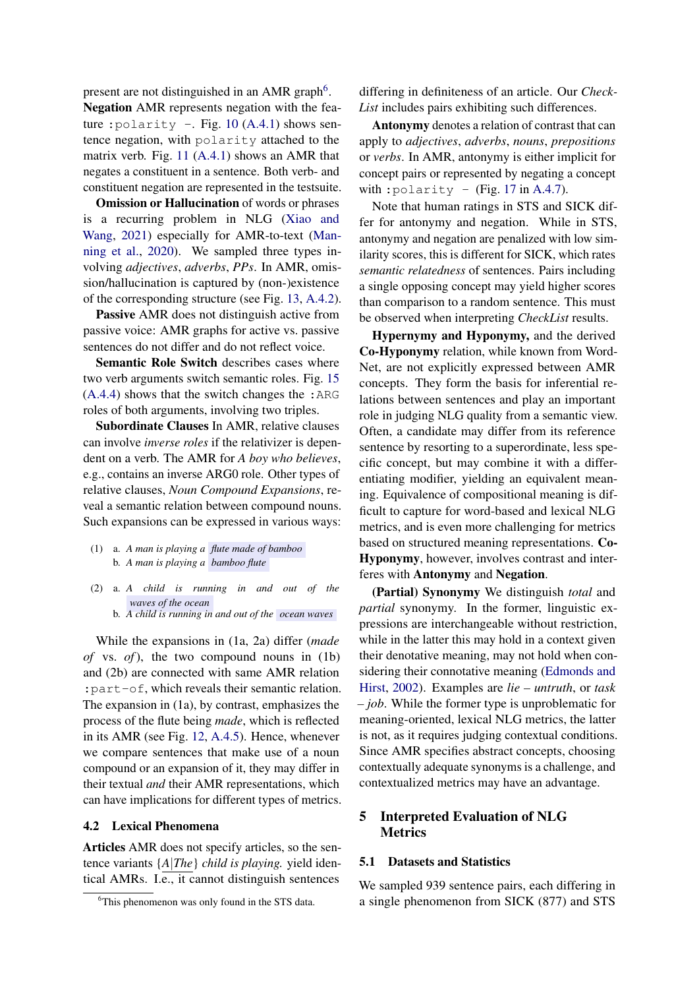present are not distinguished in an AMR graph<sup>[6](#page-5-1)</sup>. Negation AMR represents negation with the fea-ture : polarity -. Fig. [10](#page-14-0)  $(A.4.1)$  shows sentence negation, with polarity attached to the matrix verb. Fig. [11](#page-14-1) [\(A.4.1\)](#page-12-1) shows an AMR that negates a constituent in a sentence. Both verb- and constituent negation are represented in the testsuite.

**Omission or Hallucination** of words or phrases is a recurring problem in NLG [\(Xiao and](#page-11-8) [Wang,](#page-11-8) [2021\)](#page-11-8) especially for AMR-to-text [\(Man](#page-10-1)[ning et al.,](#page-10-1) [2020\)](#page-10-1). We sampled three types involving *adjectives*, *adverbs*, *PPs*. In AMR, omission/hallucination is captured by (non-)existence of the corresponding structure (see Fig. [13,](#page-15-0) [A.4.2\)](#page-14-2).

Passive AMR does not distinguish active from passive voice: AMR graphs for active vs. passive sentences do not differ and do not reflect voice.

Semantic Role Switch describes cases where two verb arguments switch semantic roles. Fig. [15](#page-15-1) [\(A.4.4\)](#page-14-3) shows that the switch changes the :ARG roles of both arguments, involving two triples.

Subordinate Clauses In AMR, relative clauses can involve *inverse roles* if the relativizer is dependent on a verb. The AMR for *A boy who believes*, e.g., contains an inverse ARG0 role. Other types of relative clauses, *Noun Compound Expansions*, reveal a semantic relation between compound nouns. Such expansions can be expressed in various ways:

- (1) a. *A man is playing a flute made of bamboo* b. *A man is playing a bamboo flute*
- (2) a. *A child is running in and out of the waves of the ocean*
	- b. *A child is running in and out of the ocean waves*

While the expansions in (1a, 2a) differ (*made of* vs. *of*), the two compound nouns in (1b) and (2b) are connected with same AMR relation :part-of, which reveals their semantic relation. The expansion in (1a), by contrast, emphasizes the process of the flute being *made*, which is reflected in its AMR (see Fig. [12,](#page-15-2) [A.4.5\)](#page-14-4). Hence, whenever we compare sentences that make use of a noun compound or an expansion of it, they may differ in their textual *and* their AMR representations, which can have implications for different types of metrics.

#### 4.2 Lexical Phenomena

Articles AMR does not specify articles, so the sentence variants {*A*|*The*} *child is playing.* yield identical AMRs. I.e., it cannot distinguish sentences

differing in definiteness of an article. Our *Check-List* includes pairs exhibiting such differences.

Antonymy denotes a relation of contrast that can apply to *adjectives*, *adverbs*, *nouns*, *prepositions* or *verbs*. In AMR, antonymy is either implicit for concept pairs or represented by negating a concept with : polarity - (Fig. [17](#page-15-3) in [A.4.7\)](#page-15-4).

Note that human ratings in STS and SICK differ for antonymy and negation. While in STS, antonymy and negation are penalized with low similarity scores, this is different for SICK, which rates *semantic relatedness* of sentences. Pairs including a single opposing concept may yield higher scores than comparison to a random sentence. This must be observed when interpreting *CheckList* results.

Hypernymy and Hyponymy, and the derived Co-Hyponymy relation, while known from Word-Net, are not explicitly expressed between AMR concepts. They form the basis for inferential relations between sentences and play an important role in judging NLG quality from a semantic view. Often, a candidate may differ from its reference sentence by resorting to a superordinate, less specific concept, but may combine it with a differentiating modifier, yielding an equivalent meaning. Equivalence of compositional meaning is difficult to capture for word-based and lexical NLG metrics, and is even more challenging for metrics based on structured meaning representations. Co-Hyponymy, however, involves contrast and interferes with Antonymy and Negation.

(Partial) Synonymy We distinguish *total* and *partial* synonymy. In the former, linguistic expressions are interchangeable without restriction, while in the latter this may hold in a context given their denotative meaning, may not hold when considering their connotative meaning [\(Edmonds and](#page-9-10) [Hirst,](#page-9-10) [2002\)](#page-9-10). Examples are *lie – untruth*, or *task – job*. While the former type is unproblematic for meaning-oriented, lexical NLG metrics, the latter is not, as it requires judging contextual conditions. Since AMR specifies abstract concepts, choosing contextually adequate synonyms is a challenge, and contextualized metrics may have an advantage.

# <span id="page-5-0"></span>5 Interpreted Evaluation of NLG Metrics

### 5.1 Datasets and Statistics

We sampled 939 sentence pairs, each differing in a single phenomenon from SICK (877) and STS

<span id="page-5-1"></span><sup>&</sup>lt;sup>6</sup>This phenomenon was only found in the STS data.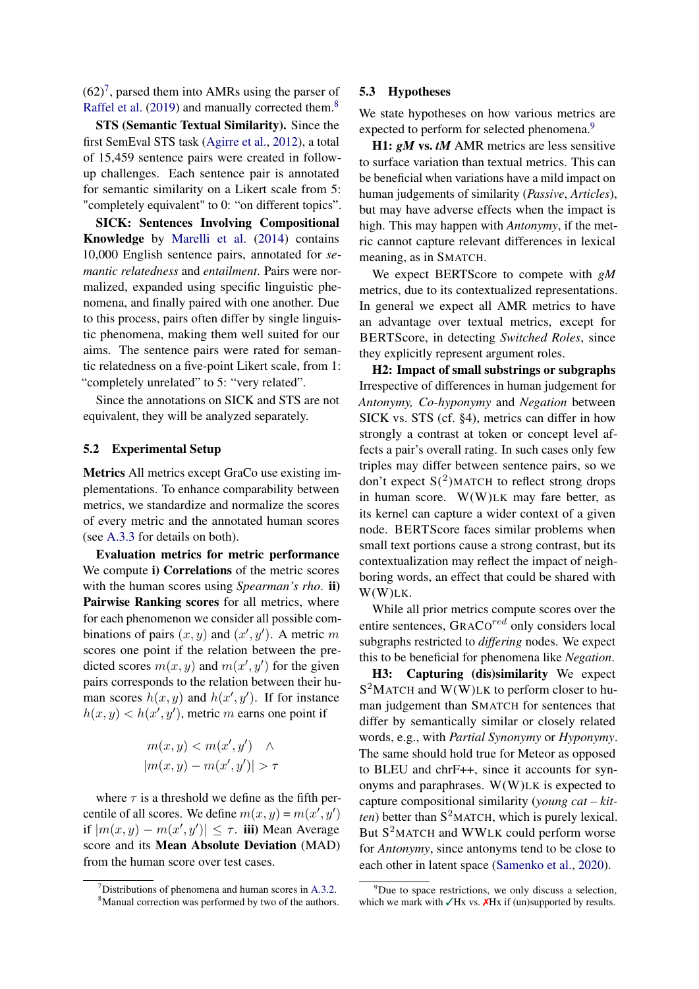$(62)^7$  $(62)^7$ , parsed them into AMRs using the parser of [Raffel et al.](#page-10-14) [\(2019\)](#page-10-14) and manually corrected them.<sup>[8](#page-6-1)</sup>

STS (Semantic Textual Similarity). Since the first SemEval STS task [\(Agirre et al.,](#page-9-11) [2012\)](#page-9-11), a total of 15,459 sentence pairs were created in followup challenges. Each sentence pair is annotated for semantic similarity on a Likert scale from 5: "completely equivalent" to 0: "on different topics".

SICK: Sentences Involving Compositional Knowledge by [Marelli et al.](#page-10-15) [\(2014\)](#page-10-15) contains 10,000 English sentence pairs, annotated for *semantic relatedness* and *entailment*. Pairs were normalized, expanded using specific linguistic phenomena, and finally paired with one another. Due to this process, pairs often differ by single linguistic phenomena, making them well suited for our aims. The sentence pairs were rated for semantic relatedness on a five-point Likert scale, from 1: "completely unrelated" to 5: "very related".

Since the annotations on SICK and STS are not equivalent, they will be analyzed separately.

#### 5.2 Experimental Setup

Metrics All metrics except GraCo use existing implementations. To enhance comparability between metrics, we standardize and normalize the scores of every metric and the annotated human scores (see [A.3.3](#page-12-2) for details on both).

Evaluation metrics for metric performance We compute i) Correlations of the metric scores with the human scores using *Spearman's rho*. ii) Pairwise Ranking scores for all metrics, where for each phenomenon we consider all possible combinations of pairs  $(x, y)$  and  $(x', y')$ . A metric m scores one point if the relation between the predicted scores  $m(x, y)$  and  $m(x', y')$  for the given pairs corresponds to the relation between their human scores  $h(x, y)$  and  $h(x', y')$ . If for instance  $h(x, y) < h(x', y')$ , metric m earns one point if

$$
m(x, y) < m(x', y') \quad \land |m(x, y) - m(x', y')| > \tau
$$

where  $\tau$  is a threshold we define as the fifth percentile of all scores. We define  $m(x, y) = m(x', y')$ if  $|m(x, y) - m(x', y')| \leq \tau$ . iii) Mean Average score and its Mean Absolute Deviation (MAD) from the human score over test cases.

#### 5.3 Hypotheses

We state hypotheses on how various metrics are expected to perform for selected phenomena.<sup>[9](#page-6-2)</sup>

H1: *gM* vs. *tM* AMR metrics are less sensitive to surface variation than textual metrics. This can be beneficial when variations have a mild impact on human judgements of similarity (*Passive*, *Articles*), but may have adverse effects when the impact is high. This may happen with *Antonymy*, if the metric cannot capture relevant differences in lexical meaning, as in SMATCH.

We expect BERTScore to compete with *gM* metrics, due to its contextualized representations. In general we expect all AMR metrics to have an advantage over textual metrics, except for BERTScore, in detecting *Switched Roles*, since they explicitly represent argument roles.

H2: Impact of small substrings or subgraphs Irrespective of differences in human judgement for *Antonymy, Co-hyponymy* and *Negation* between SICK vs. STS (cf. §4), metrics can differ in how strongly a contrast at token or concept level affects a pair's overall rating. In such cases only few triples may differ between sentence pairs, so we don't expect  $S(2)$ MATCH to reflect strong drops in human score.  $W(W)$ LK may fare better, as its kernel can capture a wider context of a given node. BERTScore faces similar problems when small text portions cause a strong contrast, but its contextualization may reflect the impact of neighboring words, an effect that could be shared with W(W)LK.

While all prior metrics compute scores over the entire sentences, GRACO<sup>red</sup> only considers local subgraphs restricted to *differing* nodes. We expect this to be beneficial for phenomena like *Negation*.

H3: Capturing (dis)similarity We expect  $S^2$ MATCH and W(W)LK to perform closer to human judgement than SMATCH for sentences that differ by semantically similar or closely related words, e.g., with *Partial Synonymy* or *Hyponymy*. The same should hold true for Meteor as opposed to BLEU and chrF++, since it accounts for synonyms and paraphrases. W(W)LK is expected to capture compositional similarity (*young cat – kit*ten) better than S<sup>2</sup>MATCH, which is purely lexical. But S<sup>2</sup>MATCH and WWLK could perform worse for *Antonymy*, since antonyms tend to be close to each other in latent space [\(Samenko et al.,](#page-10-16) [2020\)](#page-10-16).

<span id="page-6-0"></span> $7$ Distributions of phenomena and human scores in [A.3.2.](#page-12-3)

<span id="page-6-1"></span><sup>&</sup>lt;sup>8</sup>Manual correction was performed by two of the authors.

<span id="page-6-2"></span> $9^9$ Due to space restrictions, we only discuss a selection, which we mark with  $\sqrt{Hx}$  vs.  $\chi$ Hx if (un)supported by results.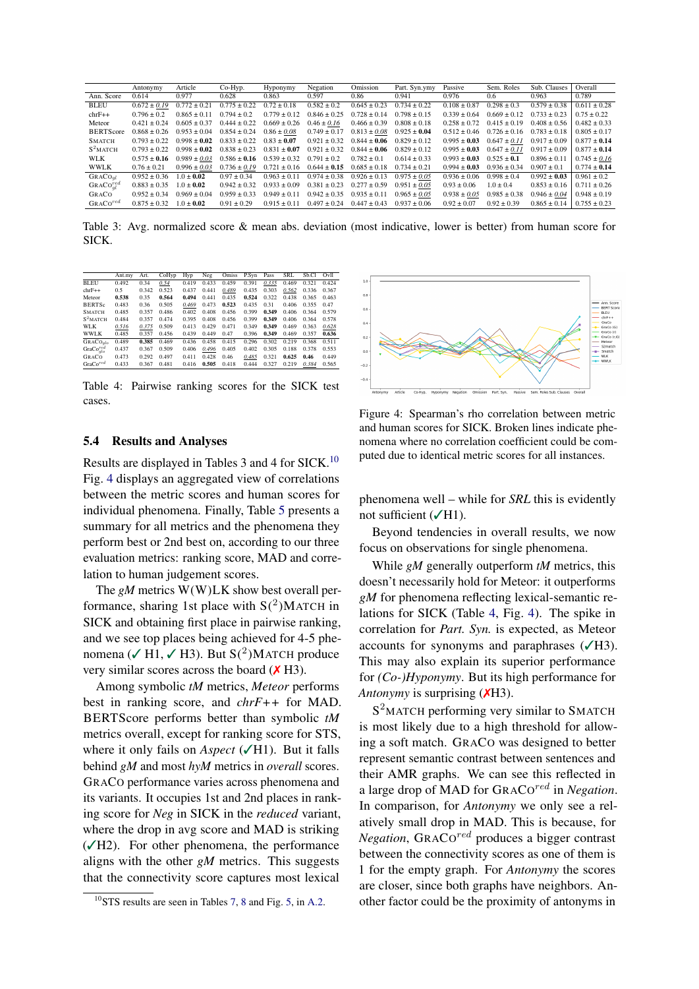|                      | Antonymy         | Article          | Co-Hyp.          | Hyponymy         | Negation         | Omission         | Part. Syn.ymy    | Passive          | Sem. Roles       | Sub. Clauses     | Overall          |
|----------------------|------------------|------------------|------------------|------------------|------------------|------------------|------------------|------------------|------------------|------------------|------------------|
| Ann. Score           | 0.614            | 0.977            | 0.628            | 0.863            | 0.597            | 0.86             | 0.941            | 0.976            | 0.6              | 0.963            | 0.789            |
| <b>BLEU</b>          | $0.672 \pm 0.19$ | $0.772 \pm 0.21$ | $0.775 \pm 0.22$ | $0.72 \pm 0.18$  | $0.582 \pm 0.2$  | $0.645 \pm 0.23$ | $0.734 \pm 0.22$ | $0.108 \pm 0.87$ | $0.298 \pm 0.3$  | $0.579 \pm 0.38$ | $0.611 \pm 0.28$ |
| $chrF++$             | $0.796 \pm 0.2$  | $0.865 \pm 0.11$ | $0.794 \pm 0.2$  | $0.779 \pm 0.12$ | $0.846 \pm 0.25$ | $0.728 \pm 0.14$ | $0.798 \pm 0.15$ | $0.339 + 0.64$   | $0.669 \pm 0.12$ | $0.733 \pm 0.23$ | $0.75 \pm 0.22$  |
| Meteor               | $0.421 \pm 0.24$ | $0.605 \pm 0.37$ | $0.444 \pm 0.22$ | $0.669 \pm 0.26$ | $0.46 \pm 0.16$  | $0.466 \pm 0.39$ | $0.808 \pm 0.18$ | $0.258 \pm 0.72$ | $0.415 \pm 0.19$ | $0.408 \pm 0.56$ | $0.482 \pm 0.33$ |
| <b>BERTScore</b>     | $0.868 \pm 0.26$ | $0.953 \pm 0.04$ | $0.854 \pm 0.24$ | $0.86 \pm 0.08$  | $0.749 \pm 0.17$ | $0.813 \pm 0.08$ | $0.925 \pm 0.04$ | $0.512 \pm 0.46$ | $0.726 \pm 0.16$ | $0.783 \pm 0.18$ | $0.805 \pm 0.17$ |
| <b>SMATCH</b>        | $0.793 + 0.22$   | $0.998 + 0.02$   | $0.833 \pm 0.22$ | $0.83 \pm 0.07$  | $0.921 \pm 0.32$ | $0.844 \pm 0.06$ | $0.829 \pm 0.12$ | $0.995 \pm 0.03$ | $0.647 \pm 0.11$ | $0.917 \pm 0.09$ | $0.877 \pm 0.14$ |
| $S^2$ MATCH          | $0.793 + 0.22$   | $0.998 + 0.02$   | $0.838 \pm 0.23$ | $0.831 + 0.07$   | $0.921 + 0.32$   | $0.844 + 0.06$   | $0.829 \pm 0.12$ | $0.995 + 0.03$   | $0.647 \pm 0.11$ | $0.917 \pm 0.09$ | $0.877 \pm 0.14$ |
| <b>WLK</b>           | $0.575 + 0.16$   | $0.989 \pm 0.03$ | $0.586 \pm 0.16$ | $0.539 \pm 0.32$ | $0.791 \pm 0.2$  | $0.782 \pm 0.1$  | $0.614 \pm 0.33$ | $0.993 + 0.03$   | $0.525 \pm 0.1$  | $0.896 \pm 0.11$ | $0.745 \pm 0.16$ |
| <b>WWLK</b>          | $0.76 \pm 0.21$  | $0.996 \pm 0.03$ | $0.736 \pm 0.19$ | $0.721 \pm 0.16$ | $0.644 \pm 0.15$ | $0.685 \pm 0.18$ | $0.734 \pm 0.21$ | $0.994 + 0.03$   | $0.936 \pm 0.34$ | $0.907 \pm 0.1$  | $0.774 \pm 0.14$ |
| GRACO <sub>ql</sub>  | $0.952 \pm 0.36$ | $1.0 \pm 0.02$   | $0.97 \pm 0.34$  | $0.963 \pm 0.11$ | $0.974 \pm 0.38$ | $0.926 \pm 0.13$ | $0.975 \pm 0.05$ | $0.936 \pm 0.06$ | $0.998 \pm 0.4$  | $0.992 \pm 0.03$ | $0.961 \pm 0.2$  |
| $GRACO_{ol}^{red}$   | $0.883 \pm 0.35$ | $1.0 \pm 0.02$   | $0.942 \pm 0.32$ | $0.933 + 0.09$   | $0.381 \pm 0.23$ | $0.277 \pm 0.59$ | $0.951 \pm 0.05$ | $0.93 \pm 0.06$  | $1.0 \pm 0.4$    | $0.853 \pm 0.16$ | $0.711 \pm 0.26$ |
| GRACO                | $0.952 + 0.34$   | $0.969 + 0.04$   | $0.959 \pm 0.33$ | $0.949 + 0.11$   | $0.942 \pm 0.35$ | $0.935 \pm 0.11$ | $0.965 \pm 0.05$ | $0.938 \pm 0.05$ | $0.985 \pm 0.38$ | $0.946 \pm 0.04$ | $0.948 \pm 0.19$ |
| GRACO <sup>red</sup> | $0.875 + 0.32$   | $1.0 + 0.02$     | $0.91 + 0.29$    | $0.915 + 0.11$   | $0.497 + 0.24$   | $0.447 + 0.43$   | $0.937 + 0.06$   | $0.92 \pm 0.07$  | $0.92 \pm 0.39$  | $0.865 \pm 0.14$ | $0.755 \pm 0.23$ |

Table 3: Avg. normalized score & mean abs. deviation (most indicative, lower is better) from human score for SICK.

<span id="page-7-2"></span>

|                                     |        | Art.  | CoHyp |       | Neg   | Omiss | P.Syn | Pass  | <b>SRL</b> | Sb.Cl | Ovll  |
|-------------------------------------|--------|-------|-------|-------|-------|-------|-------|-------|------------|-------|-------|
|                                     | Ant.my |       |       | Hyp   |       |       |       |       |            |       |       |
| <b>BLEU</b>                         | 0.492  | 0.34  | 0.54  | 0.419 | 0.433 | 0.459 | 0.391 | 0.335 | 0.469      | 0.321 | 0.424 |
| $chrF++$                            | 0.5    | 0.342 | 0.523 | 0.437 | 0.441 | 0.489 | 0.435 | 0.303 | 0.562      | 0.336 | 0.367 |
| Meteor                              | 0.538  | 0.35  | 0.564 | 0.494 | 0.441 | 0.435 | 0.524 | 0.322 | 0.438      | 0.365 | 0.463 |
| <b>BERTSc</b>                       | 0.483  | 0.36  | 0.505 | 0.469 | 0.473 | 0.523 | 0.435 | 0.31  | 0.406      | 0.355 | 0.47  |
| <b>SMATCH</b>                       | 0.485  | 0.357 | 0.486 | 0.402 | 0.408 | 0.456 | 0.399 | 0.349 | 0.406      | 0.364 | 0.579 |
| $S^2$ MATCH                         | 0.484  | 0.357 | 0.474 | 0.395 | 0.408 | 0.456 | 0.399 | 0.349 | 0.406      | 0.364 | 0.578 |
| <b>WLK</b>                          | 0.516  | 0.375 | 0.509 | 0.413 | 0.429 | 0.471 | 0.349 | 0.349 | 0.469      | 0.363 | 0.628 |
| <b>WWLK</b>                         | 0.485  | 0.357 | 0.456 | 0.439 | 0.449 | 0.47  | 0.396 | 0.349 | 0.469      | 0.357 | 0.636 |
| GRACO <sub>alo</sub>                | 0.489  | 0.385 | 0.469 | 0.436 | 0.458 | 0.415 | 0.296 | 0.302 | 0.219      | 0.368 | 0.511 |
| GraCo <sub>alo</sub> <sup>red</sup> | 0.437  | 0.367 | 0.509 | 0.406 | 0.496 | 0.405 | 0.402 | 0.305 | 0.188      | 0.378 | 0.553 |
| GRACO                               | 0.473  | 0.292 | 0.497 | 0.411 | 0.428 | 0.46  | 0.485 | 0.321 | 0.625      | 0.46  | 0.449 |
| GraCo <sup>red</sup>                | 0.433  | 0.367 | 0.481 | 0.416 | 0.505 | 0.418 | 0.444 | 0.327 | 0.219      | 0.384 | 0.565 |

Table 4: Pairwise ranking scores for the SICK test cases.



Results are displayed in Tables 3 and 4 for SICK.[10](#page-7-0) Fig. [4](#page-7-1) displays an aggregated view of correlations between the metric scores and human scores for individual phenomena. Finally, Table [5](#page-8-1) presents a summary for all metrics and the phenomena they perform best or 2nd best on, according to our three evaluation metrics: ranking score, MAD and correlation to human judgement scores.

The *gM* metrics W(W)LK show best overall performance, sharing 1st place with  $S(2)$ MATCH in SICK and obtaining first place in pairwise ranking, and we see top places being achieved for 4-5 phenomena ( $\sqrt{H1}$ ,  $\sqrt{H3}$ ). But S(<sup>2</sup>)MATCH produce very similar scores across the board  $(X H3)$ .

Among symbolic *tM* metrics, *Meteor* performs best in ranking score, and *chrF++* for MAD. BERTScore performs better than symbolic *tM* metrics overall, except for ranking score for STS, where it only fails on *Aspect* (√H1). But it falls behind *gM* and most *hyM* metrics in *overall* scores. GRACO performance varies across phenomena and its variants. It occupies 1st and 2nd places in ranking score for *Neg* in SICK in the *reduced* variant, where the drop in avg score and MAD is striking  $(\sqrt{H2})$ . For other phenomena, the performance aligns with the other *gM* metrics. This suggests that the connectivity score captures most lexical

<span id="page-7-1"></span>

Figure 4: Spearman's rho correlation between metric and human scores for SICK. Broken lines indicate phenomena where no correlation coefficient could be computed due to identical metric scores for all instances.

phenomena well – while for *SRL* this is evidently not sufficient  $(\sqrt{H1})$ .

Beyond tendencies in overall results, we now focus on observations for single phenomena.

While *gM* generally outperform *tM* metrics, this doesn't necessarily hold for Meteor: it outperforms *gM* for phenomena reflecting lexical-semantic relations for SICK (Table [4,](#page-7-2) Fig. [4\)](#page-7-1). The spike in correlation for *Part. Syn.* is expected, as Meteor accounts for synonyms and paraphrases  $(\sqrt{H3})$ . This may also explain its superior performance for *(Co-)Hyponymy*. But its high performance for *Antonymy* is surprising (*XH3*).

S<sup>2</sup>MATCH performing very similar to SMATCH is most likely due to a high threshold for allowing a soft match. GRACO was designed to better represent semantic contrast between sentences and their AMR graphs. We can see this reflected in a large drop of MAD for GRACO<sup>red</sup> in *Negation*. In comparison, for *Antonymy* we only see a relatively small drop in MAD. This is because, for Negation, GRACO<sup>red</sup> produces a bigger contrast between the connectivity scores as one of them is 1 for the empty graph. For *Antonymy* the scores are closer, since both graphs have neighbors. Another factor could be the proximity of antonyms in

<span id="page-7-0"></span> $10$ STS results are seen in Tables [7,](#page-11-9) [8](#page-12-4) and Fig. [5,](#page-12-5) in [A.2.](#page-11-10)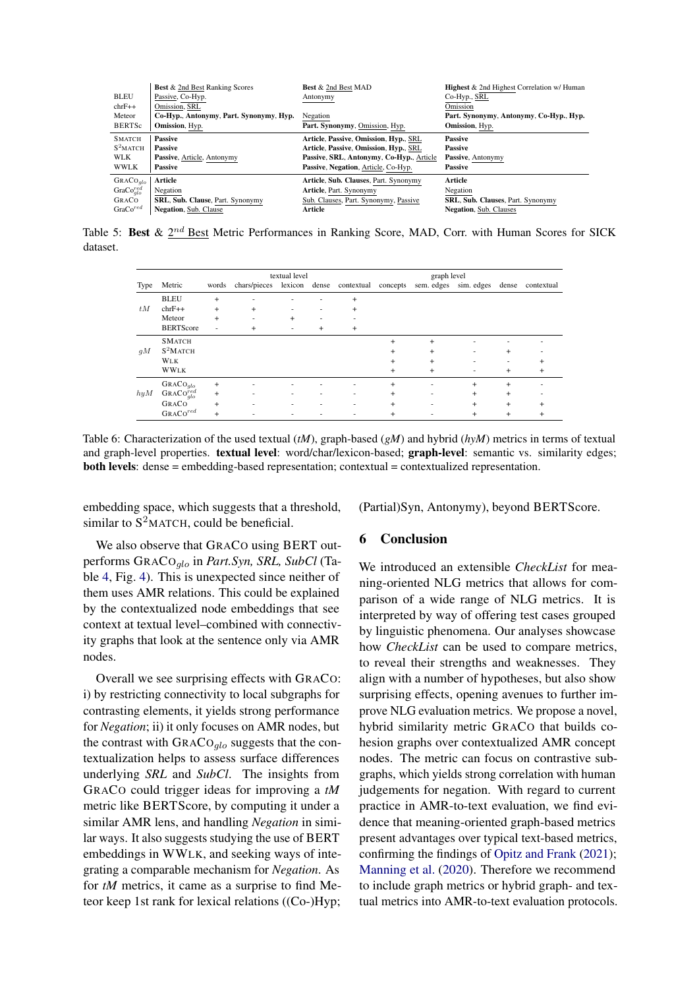<span id="page-8-1"></span>

|                                     | <b>Best</b> & 2nd Best Ranking Scores   | <b>Best &amp; 2nd Best MAD</b>           | <b>Highest &amp; 2nd Highest Correlation w/ Human</b> |
|-------------------------------------|-----------------------------------------|------------------------------------------|-------------------------------------------------------|
| <b>BLEU</b>                         | Passive, Co-Hyp.                        | Antonymy                                 | Co-Hyp., SRL                                          |
| $chrF++$                            | Omission, SRL                           |                                          | Omission                                              |
| Meteor                              | Co-Hyp., Antonymy, Part. Synonymy, Hyp. | Negation                                 | Part. Synonymy, Antonymy, Co-Hyp., Hyp.               |
| <b>BERTSc</b>                       | Omission, Hyp.                          | Part. Synonymy, Omission, Hyp.           | Omission, Hyp.                                        |
| <b>SMATCH</b>                       | <b>Passive</b>                          | Article, Passive, Omission, Hyp., SRL    | <b>Passive</b>                                        |
| $S^2$ MATCH                         | <b>Passive</b>                          | Article, Passive, Omission, Hyp., SRL    | Passive                                               |
| WLK                                 | Passive, Article, Antonymy              | Passive, SRL, Antonymy, Co-Hyp., Article | Passive, Antonymy                                     |
| <b>WWLK</b>                         | <b>Passive</b>                          | Passive, Negation, Article, Co-Hyp.      | <b>Passive</b>                                        |
| GRACO <sub>alo</sub>                | Article                                 | Article, Sub. Clauses, Part. Synonymy    | Article                                               |
| GraCo <sub>alo</sub> <sup>red</sup> | Negation                                | Article, Part. Synonymy                  | Negation                                              |
| GRACO                               | <b>SRL, Sub. Clause, Part. Synonymy</b> | Sub. Clauses, Part. Synonymy, Passive    | <b>SRL, Sub. Clauses, Part. Synonymy</b>              |
| GraCo <sup>red</sup>                | <b>Negation, Sub. Clause</b>            | Article                                  | <b>Negation</b> , Sub. Clauses                        |

<span id="page-8-0"></span>Table 5: Best &  $2^{nd}$  Best Metric Performances in Ranking Score, MAD, Corr. with Human Scores for SICK dataset.

|      |                                     | textual level |                                                                    |     |     |                          | graph level |                          |           |           |                  |
|------|-------------------------------------|---------------|--------------------------------------------------------------------|-----|-----|--------------------------|-------------|--------------------------|-----------|-----------|------------------|
| Type | Metric                              | words         | chars/pieces lexicon dense contextual concepts sem edges sim edges |     |     |                          |             |                          |           |           | dense contextual |
|      | <b>BLEU</b>                         | $+$           | ٠                                                                  | ۰   | ۰   | $+$                      |             |                          |           |           |                  |
| tM   | $chrF++$                            | $+$           | $+$                                                                | ۰   | ٠   | $+$                      |             |                          |           |           |                  |
|      | Meteor                              | $+$           | ۰                                                                  | $+$ | ٠   | $\overline{\phantom{a}}$ |             |                          |           |           |                  |
|      | <b>BERTScore</b>                    | ٠             | $\ddot{}$                                                          | ٠   | $+$ | $+$                      |             |                          |           |           |                  |
|      | <b>SMATCH</b>                       |               |                                                                    |     |     |                          | $+$         | $+$                      |           |           |                  |
| gM   | $S^2$ MATCH                         |               |                                                                    |     |     |                          | $\ddot{}$   | $+$                      | ۰.        | $\ddot{}$ |                  |
|      | <b>WLK</b>                          |               |                                                                    |     |     |                          | $+$         | $+$                      | ۰         | ٠         | $\pm$            |
|      | <b>WWLK</b>                         |               |                                                                    |     |     |                          | $\ddot{}$   | $+$                      | ٠         | $+$       | $+$              |
|      | GRACO <sub>alo</sub>                | $+$           | ٠                                                                  | ۰   | ۰   |                          | $\ddot{}$   | $\overline{\phantom{a}}$ | $+$       | $+$       |                  |
| hyM  | GRACO <sub>glo</sub> <sup>red</sup> | $+$           | ٠                                                                  | ۰   | ۰   | ۰                        | $\ddot{}$   | $\sim$                   | $+$       | $+$       |                  |
|      | GRACO                               | $+$           | ٠                                                                  | ۰   | ۰   | $\overline{\phantom{a}}$ | $\ddot{}$   | $\overline{\phantom{a}}$ | $+$       | $+$       | $\ddot{}$        |
|      | GRACO <sup>red</sup>                | $\ddot{}$     | ٠                                                                  | ۰   | ۰   | ۰                        | $\ddot{}$   | $\sim$                   | $\ddot{}$ | $\ddot{}$ | $^{+}$           |

Table 6: Characterization of the used textual (*tM*), graph-based (*gM*) and hybrid (*hyM*) metrics in terms of textual and graph-level properties. textual level: word/char/lexicon-based; graph-level: semantic vs. similarity edges; both levels: dense = embedding-based representation; contextual = contextualized representation.

embedding space, which suggests that a threshold, similar to  $S^2$ MATCH, could be beneficial.

(Partial)Syn, Antonymy), beyond BERTScore.

We also observe that GRACO using BERT outperforms GRACOglo in *Part.Syn, SRL, SubCl* (Table [4,](#page-7-2) Fig. [4\)](#page-7-1). This is unexpected since neither of them uses AMR relations. This could be explained by the contextualized node embeddings that see context at textual level–combined with connectivity graphs that look at the sentence only via AMR nodes.

Overall we see surprising effects with GRACO: i) by restricting connectivity to local subgraphs for contrasting elements, it yields strong performance for *Negation*; ii) it only focuses on AMR nodes, but the contrast with  $GRACO<sub>qlo</sub>$  suggests that the contextualization helps to assess surface differences underlying *SRL* and *SubCl*. The insights from GRACO could trigger ideas for improving a *tM* metric like BERTScore, by computing it under a similar AMR lens, and handling *Negation* in similar ways. It also suggests studying the use of BERT embeddings in WWLK, and seeking ways of integrating a comparable mechanism for *Negation*. As for *tM* metrics, it came as a surprise to find Meteor keep 1st rank for lexical relations ((Co-)Hyp;

# 6 Conclusion

We introduced an extensible *CheckList* for meaning-oriented NLG metrics that allows for comparison of a wide range of NLG metrics. It is interpreted by way of offering test cases grouped by linguistic phenomena. Our analyses showcase how *CheckList* can be used to compare metrics, to reveal their strengths and weaknesses. They align with a number of hypotheses, but also show surprising effects, opening avenues to further improve NLG evaluation metrics. We propose a novel, hybrid similarity metric GRACO that builds cohesion graphs over contextualized AMR concept nodes. The metric can focus on contrastive subgraphs, which yields strong correlation with human judgements for negation. With regard to current practice in AMR-to-text evaluation, we find evidence that meaning-oriented graph-based metrics present advantages over typical text-based metrics, confirming the findings of [Opitz and Frank](#page-10-2) [\(2021\)](#page-10-2); [Manning et al.](#page-10-1) [\(2020\)](#page-10-1). Therefore we recommend to include graph metrics or hybrid graph- and textual metrics into AMR-to-text evaluation protocols.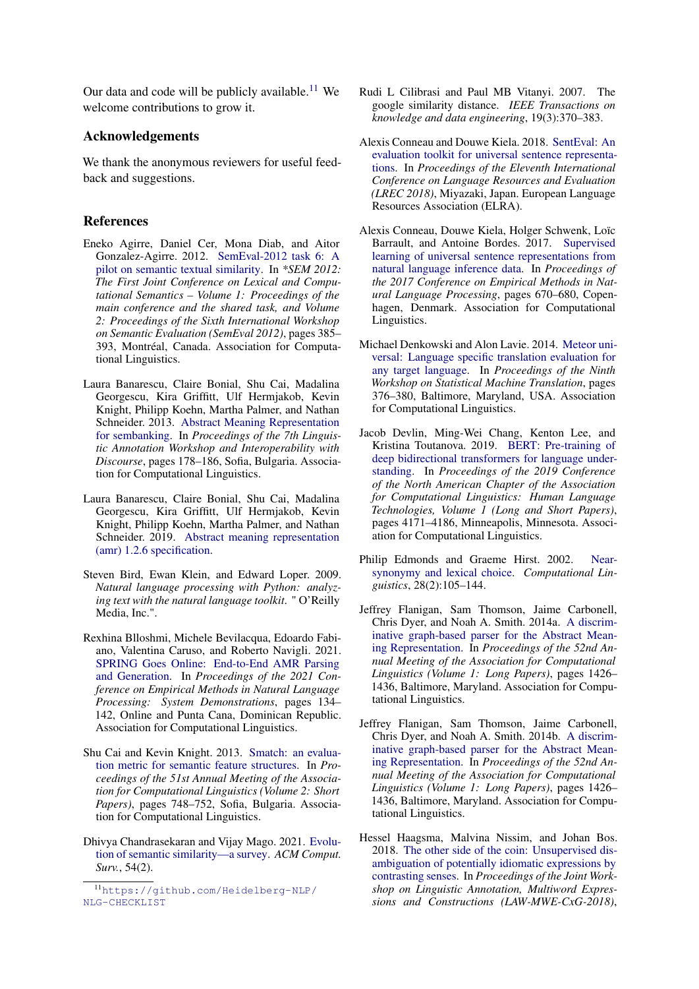Our data and code will be publicly available.<sup>[11](#page-9-12)</sup> We welcome contributions to grow it.

# Acknowledgements

We thank the anonymous reviewers for useful feedback and suggestions.

### References

- <span id="page-9-11"></span>Eneko Agirre, Daniel Cer, Mona Diab, and Aitor Gonzalez-Agirre. 2012. [SemEval-2012 task 6: A](https://aclanthology.org/S12-1051) [pilot on semantic textual similarity.](https://aclanthology.org/S12-1051) In *\*SEM 2012: The First Joint Conference on Lexical and Computational Semantics – Volume 1: Proceedings of the main conference and the shared task, and Volume 2: Proceedings of the Sixth International Workshop on Semantic Evaluation (SemEval 2012)*, pages 385– 393, Montréal, Canada. Association for Computational Linguistics.
- <span id="page-9-0"></span>Laura Banarescu, Claire Bonial, Shu Cai, Madalina Georgescu, Kira Griffitt, Ulf Hermjakob, Kevin Knight, Philipp Koehn, Martha Palmer, and Nathan Schneider. 2013. [Abstract Meaning Representation](https://aclanthology.org/W13-2322) [for sembanking.](https://aclanthology.org/W13-2322) In *Proceedings of the 7th Linguistic Annotation Workshop and Interoperability with Discourse*, pages 178–186, Sofia, Bulgaria. Association for Computational Linguistics.
- <span id="page-9-9"></span>Laura Banarescu, Claire Bonial, Shu Cai, Madalina Georgescu, Kira Griffitt, Ulf Hermjakob, Kevin Knight, Philipp Koehn, Martha Palmer, and Nathan Schneider. 2019. [Abstract meaning representation](https://github.com/amrisi/amr-guidelines/blob/master/amr.md) [\(amr\) 1.2.6 specification.](https://github.com/amrisi/amr-guidelines/blob/master/amr.md)
- <span id="page-9-13"></span>Steven Bird, Ewan Klein, and Edward Loper. 2009. *Natural language processing with Python: analyzing text with the natural language toolkit*. " O'Reilly Media, Inc.".
- <span id="page-9-1"></span>Rexhina Blloshmi, Michele Bevilacqua, Edoardo Fabiano, Valentina Caruso, and Roberto Navigli. 2021. [SPRING Goes Online: End-to-End AMR Parsing](https://doi.org/10.18653/v1/2021.emnlp-demo.16) [and Generation.](https://doi.org/10.18653/v1/2021.emnlp-demo.16) In *Proceedings of the 2021 Conference on Empirical Methods in Natural Language Processing: System Demonstrations*, pages 134– 142, Online and Punta Cana, Dominican Republic. Association for Computational Linguistics.
- <span id="page-9-5"></span>Shu Cai and Kevin Knight. 2013. [Smatch: an evalua](https://aclanthology.org/P13-2131)[tion metric for semantic feature structures.](https://aclanthology.org/P13-2131) In *Proceedings of the 51st Annual Meeting of the Association for Computational Linguistics (Volume 2: Short Papers)*, pages 748–752, Sofia, Bulgaria. Association for Computational Linguistics.
- <span id="page-9-2"></span>Dhivya Chandrasekaran and Vijay Mago. 2021. [Evolu](https://doi.org/10.1145/3440755)[tion of semantic similarity—a survey.](https://doi.org/10.1145/3440755) *ACM Comput. Surv.*, 54(2).
- <span id="page-9-6"></span>Rudi L Cilibrasi and Paul MB Vitanyi. 2007. The google similarity distance. *IEEE Transactions on knowledge and data engineering*, 19(3):370–383.
- <span id="page-9-3"></span>Alexis Conneau and Douwe Kiela. 2018. [SentEval: An](https://aclanthology.org/L18-1269) [evaluation toolkit for universal sentence representa](https://aclanthology.org/L18-1269)[tions.](https://aclanthology.org/L18-1269) In *Proceedings of the Eleventh International Conference on Language Resources and Evaluation (LREC 2018)*, Miyazaki, Japan. European Language Resources Association (ELRA).
- <span id="page-9-4"></span>Alexis Conneau, Douwe Kiela, Holger Schwenk, Loïc Barrault, and Antoine Bordes. 2017. [Supervised](https://doi.org/10.18653/v1/D17-1070) [learning of universal sentence representations from](https://doi.org/10.18653/v1/D17-1070) [natural language inference data.](https://doi.org/10.18653/v1/D17-1070) In *Proceedings of the 2017 Conference on Empirical Methods in Natural Language Processing*, pages 670–680, Copenhagen, Denmark. Association for Computational Linguistics.
- <span id="page-9-14"></span>Michael Denkowski and Alon Lavie. 2014. [Meteor uni](https://doi.org/10.3115/v1/W14-3348)[versal: Language specific translation evaluation for](https://doi.org/10.3115/v1/W14-3348) [any target language.](https://doi.org/10.3115/v1/W14-3348) In *Proceedings of the Ninth Workshop on Statistical Machine Translation*, pages 376–380, Baltimore, Maryland, USA. Association for Computational Linguistics.
- <span id="page-9-16"></span>Jacob Devlin, Ming-Wei Chang, Kenton Lee, and Kristina Toutanova. 2019. [BERT: Pre-training of](https://doi.org/10.18653/v1/N19-1423) [deep bidirectional transformers for language under](https://doi.org/10.18653/v1/N19-1423)[standing.](https://doi.org/10.18653/v1/N19-1423) In *Proceedings of the 2019 Conference of the North American Chapter of the Association for Computational Linguistics: Human Language Technologies, Volume 1 (Long and Short Papers)*, pages 4171–4186, Minneapolis, Minnesota. Association for Computational Linguistics.
- <span id="page-9-10"></span>Philip Edmonds and Graeme Hirst. 2002. [Near](https://doi.org/10.1162/089120102760173625)[synonymy and lexical choice.](https://doi.org/10.1162/089120102760173625) *Computational Linguistics*, 28(2):105–144.
- <span id="page-9-7"></span>Jeffrey Flanigan, Sam Thomson, Jaime Carbonell, Chris Dyer, and Noah A. Smith. 2014a. [A discrim](https://doi.org/10.3115/v1/P14-1134)[inative graph-based parser for the Abstract Mean](https://doi.org/10.3115/v1/P14-1134)[ing Representation.](https://doi.org/10.3115/v1/P14-1134) In *Proceedings of the 52nd Annual Meeting of the Association for Computational Linguistics (Volume 1: Long Papers)*, pages 1426– 1436, Baltimore, Maryland. Association for Computational Linguistics.
- <span id="page-9-15"></span>Jeffrey Flanigan, Sam Thomson, Jaime Carbonell, Chris Dyer, and Noah A. Smith. 2014b. [A discrim](https://doi.org/10.3115/v1/P14-1134)[inative graph-based parser for the Abstract Mean](https://doi.org/10.3115/v1/P14-1134)[ing Representation.](https://doi.org/10.3115/v1/P14-1134) In *Proceedings of the 52nd Annual Meeting of the Association for Computational Linguistics (Volume 1: Long Papers)*, pages 1426– 1436, Baltimore, Maryland. Association for Computational Linguistics.
- <span id="page-9-8"></span>Hessel Haagsma, Malvina Nissim, and Johan Bos. 2018. [The other side of the coin: Unsupervised dis](https://aclanthology.org/W18-4919)[ambiguation of potentially idiomatic expressions by](https://aclanthology.org/W18-4919) [contrasting senses.](https://aclanthology.org/W18-4919) In *Proceedings of the Joint Workshop on Linguistic Annotation, Multiword Expressions and Constructions (LAW-MWE-CxG-2018)*,

<span id="page-9-12"></span><sup>11</sup>[https://github.com/Heidelberg-NLP/](https://github.com/Heidelberg-NLP/NLG-CHECKLIST) [NLG-CHECKLIST](https://github.com/Heidelberg-NLP/NLG-CHECKLIST)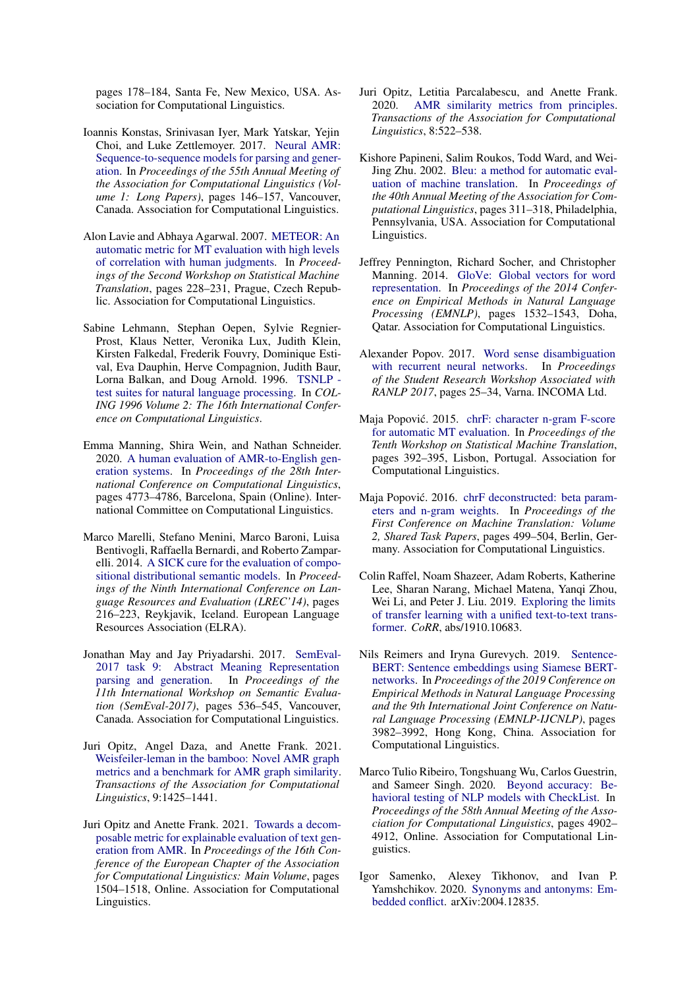pages 178–184, Santa Fe, New Mexico, USA. Association for Computational Linguistics.

- <span id="page-10-0"></span>Ioannis Konstas, Srinivasan Iyer, Mark Yatskar, Yejin Choi, and Luke Zettlemoyer. 2017. [Neural AMR:](https://doi.org/10.18653/v1/P17-1014) [Sequence-to-sequence models for parsing and gener](https://doi.org/10.18653/v1/P17-1014)[ation.](https://doi.org/10.18653/v1/P17-1014) In *Proceedings of the 55th Annual Meeting of the Association for Computational Linguistics (Volume 1: Long Papers)*, pages 146–157, Vancouver, Canada. Association for Computational Linguistics.
- <span id="page-10-11"></span>Alon Lavie and Abhaya Agarwal. 2007. [METEOR: An](https://aclanthology.org/W07-0734) [automatic metric for MT evaluation with high levels](https://aclanthology.org/W07-0734) [of correlation with human judgments.](https://aclanthology.org/W07-0734) In *Proceedings of the Second Workshop on Statistical Machine Translation*, pages 228–231, Prague, Czech Republic. Association for Computational Linguistics.
- <span id="page-10-4"></span>Sabine Lehmann, Stephan Oepen, Sylvie Regnier-Prost, Klaus Netter, Veronika Lux, Judith Klein, Kirsten Falkedal, Frederik Fouvry, Dominique Estival, Eva Dauphin, Herve Compagnion, Judith Baur, Lorna Balkan, and Doug Arnold. 1996. [TSNLP](https://aclanthology.org/C96-2120)  [test suites for natural language processing.](https://aclanthology.org/C96-2120) In *COL-ING 1996 Volume 2: The 16th International Conference on Computational Linguistics*.
- <span id="page-10-1"></span>Emma Manning, Shira Wein, and Nathan Schneider. 2020. [A human evaluation of AMR-to-English gen](https://doi.org/10.18653/v1/2020.coling-main.420)[eration systems.](https://doi.org/10.18653/v1/2020.coling-main.420) In *Proceedings of the 28th International Conference on Computational Linguistics*, pages 4773–4786, Barcelona, Spain (Online). International Committee on Computational Linguistics.
- <span id="page-10-15"></span>Marco Marelli, Stefano Menini, Marco Baroni, Luisa Bentivogli, Raffaella Bernardi, and Roberto Zamparelli. 2014. [A SICK cure for the evaluation of compo](http://www.lrec-conf.org/proceedings/lrec2014/pdf/363_Paper.pdf)[sitional distributional semantic models.](http://www.lrec-conf.org/proceedings/lrec2014/pdf/363_Paper.pdf) In *Proceedings of the Ninth International Conference on Language Resources and Evaluation (LREC'14)*, pages 216–223, Reykjavik, Iceland. European Language Resources Association (ELRA).
- <span id="page-10-9"></span>Jonathan May and Jay Priyadarshi. 2017. [SemEval-](https://doi.org/10.18653/v1/S17-2090)[2017 task 9: Abstract Meaning Representation](https://doi.org/10.18653/v1/S17-2090) parsing and generation. In Proceedings of the [parsing and generation.](https://doi.org/10.18653/v1/S17-2090) *11th International Workshop on Semantic Evaluation (SemEval-2017)*, pages 536–545, Vancouver, Canada. Association for Computational Linguistics.
- <span id="page-10-13"></span>Juri Opitz, Angel Daza, and Anette Frank. 2021. [Weisfeiler-leman in the bamboo: Novel AMR graph](https://doi.org/10.1162/tacl_a_00435) [metrics and a benchmark for AMR graph similarity.](https://doi.org/10.1162/tacl_a_00435) *Transactions of the Association for Computational Linguistics*, 9:1425–1441.
- <span id="page-10-2"></span>Juri Opitz and Anette Frank. 2021. [Towards a decom](https://doi.org/10.18653/v1/2021.eacl-main.129)[posable metric for explainable evaluation of text gen](https://doi.org/10.18653/v1/2021.eacl-main.129)[eration from AMR.](https://doi.org/10.18653/v1/2021.eacl-main.129) In *Proceedings of the 16th Conference of the European Chapter of the Association for Computational Linguistics: Main Volume*, pages 1504–1518, Online. Association for Computational Linguistics.
- <span id="page-10-12"></span>Juri Opitz, Letitia Parcalabescu, and Anette Frank. 2020. [AMR similarity metrics from principles.](https://doi.org/10.1162/tacl_a_00329) *Transactions of the Association for Computational Linguistics*, 8:522–538.
- <span id="page-10-5"></span>Kishore Papineni, Salim Roukos, Todd Ward, and Wei-Jing Zhu. 2002. [Bleu: a method for automatic eval](https://doi.org/10.3115/1073083.1073135)[uation of machine translation.](https://doi.org/10.3115/1073083.1073135) In *Proceedings of the 40th Annual Meeting of the Association for Computational Linguistics*, pages 311–318, Philadelphia, Pennsylvania, USA. Association for Computational Linguistics.
- <span id="page-10-17"></span>Jeffrey Pennington, Richard Socher, and Christopher Manning. 2014. [GloVe: Global vectors for word](https://doi.org/10.3115/v1/D14-1162) [representation.](https://doi.org/10.3115/v1/D14-1162) In *Proceedings of the 2014 Conference on Empirical Methods in Natural Language Processing (EMNLP)*, pages 1532–1543, Doha, Qatar. Association for Computational Linguistics.
- <span id="page-10-8"></span>Alexander Popov. 2017. [Word sense disambiguation](https://doi.org/10.26615/issn.1314-9156.2017_004) [with recurrent neural networks.](https://doi.org/10.26615/issn.1314-9156.2017_004) In *Proceedings of the Student Research Workshop Associated with RANLP 2017*, pages 25–34, Varna. INCOMA Ltd.
- <span id="page-10-6"></span>Maja Popović. 2015. [chrF: character n-gram F-score](https://doi.org/10.18653/v1/W15-3049) [for automatic MT evaluation.](https://doi.org/10.18653/v1/W15-3049) In *Proceedings of the Tenth Workshop on Statistical Machine Translation*, pages 392–395, Lisbon, Portugal. Association for Computational Linguistics.
- <span id="page-10-7"></span>Maja Popović. 2016. [chrF deconstructed: beta param](https://doi.org/10.18653/v1/W16-2341)[eters and n-gram weights.](https://doi.org/10.18653/v1/W16-2341) In *Proceedings of the First Conference on Machine Translation: Volume 2, Shared Task Papers*, pages 499–504, Berlin, Germany. Association for Computational Linguistics.
- <span id="page-10-14"></span>Colin Raffel, Noam Shazeer, Adam Roberts, Katherine Lee, Sharan Narang, Michael Matena, Yanqi Zhou, Wei Li, and Peter J. Liu. 2019. [Exploring the limits](http://arxiv.org/abs/1910.10683) [of transfer learning with a unified text-to-text trans](http://arxiv.org/abs/1910.10683)[former.](http://arxiv.org/abs/1910.10683) *CoRR*, abs/1910.10683.
- <span id="page-10-10"></span>Nils Reimers and Iryna Gurevych. 2019. [Sentence-](https://doi.org/10.18653/v1/D19-1410)[BERT: Sentence embeddings using Siamese BERT](https://doi.org/10.18653/v1/D19-1410)[networks.](https://doi.org/10.18653/v1/D19-1410) In *Proceedings of the 2019 Conference on Empirical Methods in Natural Language Processing and the 9th International Joint Conference on Natural Language Processing (EMNLP-IJCNLP)*, pages 3982–3992, Hong Kong, China. Association for Computational Linguistics.
- <span id="page-10-3"></span>Marco Tulio Ribeiro, Tongshuang Wu, Carlos Guestrin, and Sameer Singh. 2020. [Beyond accuracy: Be](https://doi.org/10.18653/v1/2020.acl-main.442)[havioral testing of NLP models with CheckList.](https://doi.org/10.18653/v1/2020.acl-main.442) In *Proceedings of the 58th Annual Meeting of the Association for Computational Linguistics*, pages 4902– 4912, Online. Association for Computational Linguistics.
- <span id="page-10-16"></span>Igor Samenko, Alexey Tikhonov, and Ivan P. Yamshchikov. 2020. [Synonyms and antonyms: Em](http://arxiv.org/abs/2004.12835)[bedded conflict.](http://arxiv.org/abs/2004.12835) arXiv:2004.12835.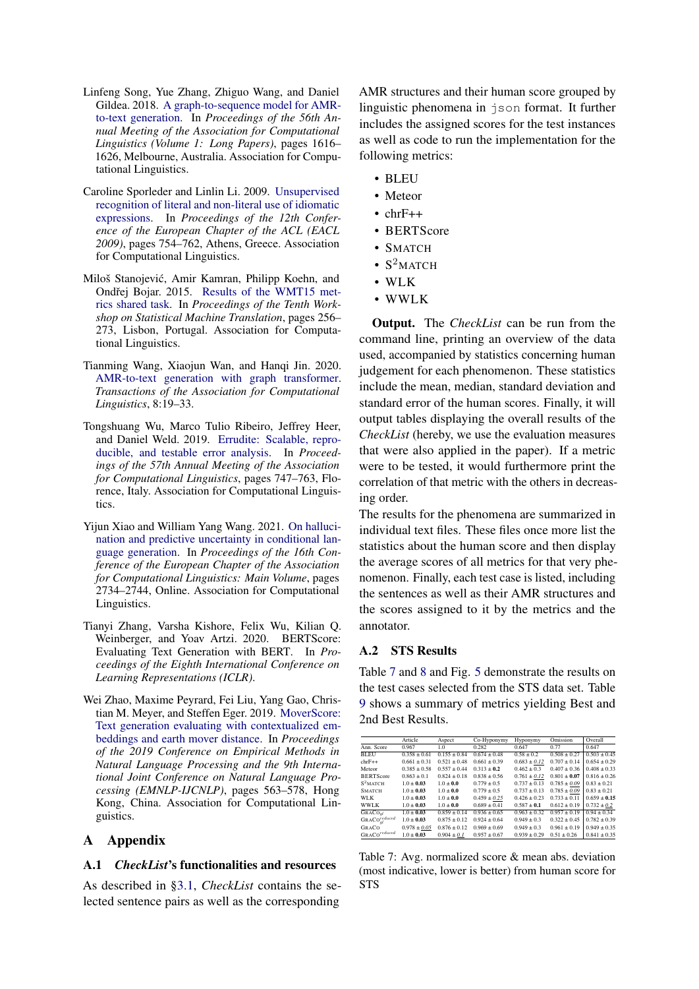- <span id="page-11-0"></span>Linfeng Song, Yue Zhang, Zhiguo Wang, and Daniel Gildea. 2018. [A graph-to-sequence model for AMR](https://doi.org/10.18653/v1/P18-1150)[to-text generation.](https://doi.org/10.18653/v1/P18-1150) In *Proceedings of the 56th Annual Meeting of the Association for Computational Linguistics (Volume 1: Long Papers)*, pages 1616– 1626, Melbourne, Australia. Association for Computational Linguistics.
- <span id="page-11-7"></span>Caroline Sporleder and Linlin Li. 2009. [Unsupervised](https://aclanthology.org/E09-1086) [recognition of literal and non-literal use of idiomatic](https://aclanthology.org/E09-1086) [expressions.](https://aclanthology.org/E09-1086) In *Proceedings of the 12th Conference of the European Chapter of the ACL (EACL 2009)*, pages 754–762, Athens, Greece. Association for Computational Linguistics.
- <span id="page-11-4"></span>Miloš Stanojevic, Amir Kamran, Philipp Koehn, and ´ Ondřej Bojar. 2015. [Results of the WMT15 met](https://doi.org/10.18653/v1/W15-3031)[rics shared task.](https://doi.org/10.18653/v1/W15-3031) In *Proceedings of the Tenth Workshop on Statistical Machine Translation*, pages 256– 273, Lisbon, Portugal. Association for Computational Linguistics.
- <span id="page-11-1"></span>Tianming Wang, Xiaojun Wan, and Hanqi Jin. 2020. [AMR-to-text generation with graph transformer.](https://doi.org/10.1162/tacl_a_00297) *Transactions of the Association for Computational Linguistics*, 8:19–33.
- <span id="page-11-5"></span>Tongshuang Wu, Marco Tulio Ribeiro, Jeffrey Heer, and Daniel Weld. 2019. [Errudite: Scalable, repro](https://doi.org/10.18653/v1/P19-1073)[ducible, and testable error analysis.](https://doi.org/10.18653/v1/P19-1073) In *Proceedings of the 57th Annual Meeting of the Association for Computational Linguistics*, pages 747–763, Florence, Italy. Association for Computational Linguistics.
- <span id="page-11-8"></span>Yijun Xiao and William Yang Wang. 2021. [On halluci](https://doi.org/10.18653/v1/2021.eacl-main.236)[nation and predictive uncertainty in conditional lan](https://doi.org/10.18653/v1/2021.eacl-main.236)[guage generation.](https://doi.org/10.18653/v1/2021.eacl-main.236) In *Proceedings of the 16th Conference of the European Chapter of the Association for Computational Linguistics: Main Volume*, pages 2734–2744, Online. Association for Computational Linguistics.
- <span id="page-11-2"></span>Tianyi Zhang, Varsha Kishore, Felix Wu, Kilian Q. Weinberger, and Yoav Artzi. 2020. BERTScore: Evaluating Text Generation with BERT. In *Proceedings of the Eighth International Conference on Learning Representations (ICLR)*.
- <span id="page-11-3"></span>Wei Zhao, Maxime Peyrard, Fei Liu, Yang Gao, Christian M. Meyer, and Steffen Eger. 2019. [MoverScore:](https://doi.org/10.18653/v1/D19-1053) [Text generation evaluating with contextualized em](https://doi.org/10.18653/v1/D19-1053)[beddings and earth mover distance.](https://doi.org/10.18653/v1/D19-1053) In *Proceedings of the 2019 Conference on Empirical Methods in Natural Language Processing and the 9th International Joint Conference on Natural Language Processing (EMNLP-IJCNLP)*, pages 563–578, Hong Kong, China. Association for Computational Linguistics.

# A Appendix

#### <span id="page-11-6"></span>A.1 *CheckList*'s functionalities and resources

As described in [§3.1,](#page-2-4) *CheckList* contains the selected sentence pairs as well as the corresponding

AMR structures and their human score grouped by linguistic phenomena in json format. It further includes the assigned scores for the test instances as well as code to run the implementation for the following metrics:

- BLEU
- Meteor
- $\cdot$  chrF++
- BERTScore
- SMATCH
- $S^2$ MATCH
- WLK
- WWLK

Output. The *CheckList* can be run from the command line, printing an overview of the data used, accompanied by statistics concerning human judgement for each phenomenon. These statistics include the mean, median, standard deviation and standard error of the human scores. Finally, it will output tables displaying the overall results of the *CheckList* (hereby, we use the evaluation measures that were also applied in the paper). If a metric were to be tested, it would furthermore print the correlation of that metric with the others in decreasing order.

The results for the phenomena are summarized in individual text files. These files once more list the statistics about the human score and then display the average scores of all metrics for that very phenomenon. Finally, each test case is listed, including the sentences as well as their AMR structures and the scores assigned to it by the metrics and the annotator.

# <span id="page-11-10"></span>A.2 STS Results

Table [7](#page-11-9) and [8](#page-12-4) and Fig. [5](#page-12-5) demonstrate the results on the test cases selected from the STS data set. Table [9](#page-14-5) shows a summary of metrics yielding Best and 2nd Best Results.

<span id="page-11-9"></span>

|                                        | Article          | Aspect           | Co-Hyponymy      | Hyponymy         | Omission         | Overall          |
|----------------------------------------|------------------|------------------|------------------|------------------|------------------|------------------|
| Ann. Score                             | 0.967            | 1.0              | 0.282            | 0.647            | 0.77             | 0.647            |
| <b>BLEU</b>                            | $0.358 \pm 0.61$ | $0.155 + 0.84$   | $0.674 + 0.48$   | $0.58 \pm 0.2$   | $0.508 + 0.27$   | $0.503 \pm 0.45$ |
| $chrF++$                               | $0.661 \pm 0.31$ | $0.521 + 0.48$   | $0.661 \pm 0.39$ | $0.683 \pm 0.12$ | $0.707 + 0.14$   | $0.654 + 0.29$   |
| Meteor                                 | $0.385 \pm 0.58$ | $0.557 + 0.44$   | $0.313 \pm 0.2$  | $0.462 \pm 0.3$  | $0.407 \pm 0.36$ | $0.408 + 0.33$   |
| <b>BERTScore</b>                       | $0.863 + 0.1$    | $0.824 + 0.18$   | $0.838 \pm 0.56$ | $0.761 \pm 0.12$ | $0.801 + 0.07$   | $0.816 + 0.26$   |
| $S^2$ MATCH                            | $1.0 + 0.03$     | $1.0 \pm 0.0$    | $0.779 \pm 0.5$  | $0.737 + 0.13$   | $0.785 \pm 0.09$ | $0.83 + 0.21$    |
| <b>SMATCH</b>                          | $1.0 \pm 0.03$   | $1.0 \pm 0.0$    | $0.779 \pm 0.5$  | $0.737 \pm 0.13$ | $0.785 \pm 0.09$ | $0.83 + 0.21$    |
| WLK                                    | $1.0 + 0.03$     | $1.0 + 0.0$      | $0.459 \pm 0.25$ | $0.426 + 0.23$   | $0.733 + 0.11$   | $0.659 + 0.15$   |
| <b>WWLK</b>                            | $1.0 \pm 0.03$   | $1.0 \pm 0.0$    | $0.689 \pm 0.41$ | $0.587 \pm 0.1$  | $0.612 \pm 0.19$ | $0.732 \pm 0.2$  |
| GRACO <sub>ol</sub>                    | $1.0 \pm 0.03$   | $0.859 + 0.14$   | $0.936 + 0.65$   | $0.963 + 0.32$   | $0.957 + 0.19$   | $0.94 + 0.34$    |
| GRACO <sub>ol</sub> <sup>reduced</sup> | $1.0 \pm 0.03$   | $0.875 \pm 0.12$ | $0.924 + 0.64$   | $0.949 \pm 0.3$  | $0.322 \pm 0.45$ | $0.782 \pm 0.39$ |
| GRACO                                  | $0.978 \pm 0.05$ | $0.876 + 0.12$   | $0.969 \pm 0.69$ | $0.949 + 0.3$    | $0.961 + 0.19$   | $0.949 + 0.35$   |
| $GRACo^{reduced}$                      | $1.0 \pm 0.03$   | $0.904 \pm 0.1$  | $0.957 \pm 0.67$ | $0.939 \pm 0.29$ | $0.51 \pm 0.26$  | $0.841 \pm 0.35$ |

Table 7: Avg. normalized score & mean abs. deviation (most indicative, lower is better) from human score for STS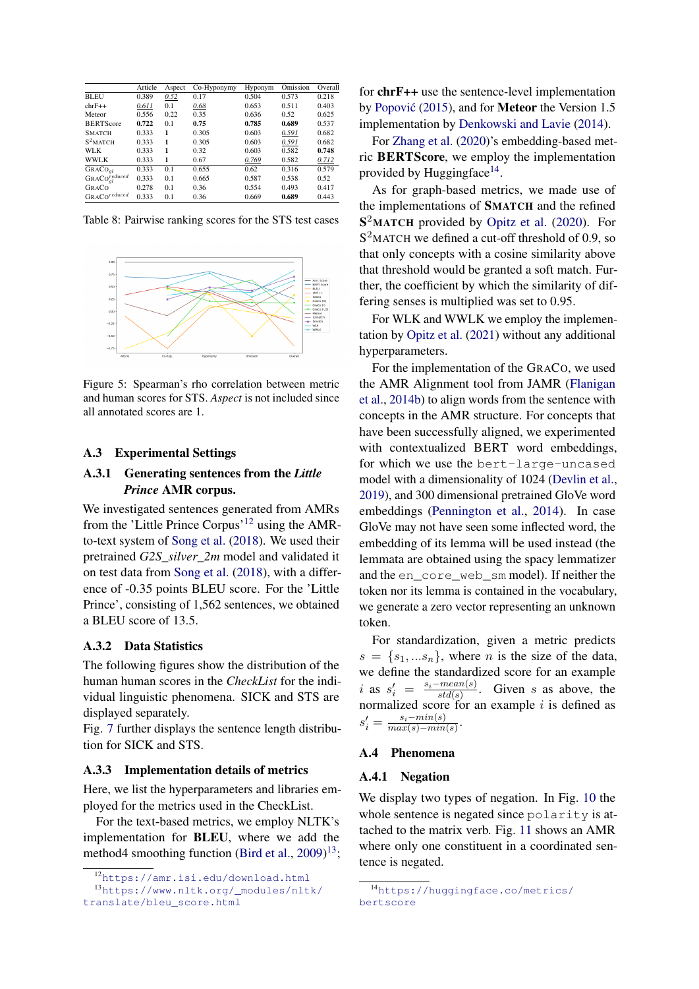<span id="page-12-4"></span>

|                              | Article | Aspect | Co-Hyponymy | Hyponym | Omission | Overall |
|------------------------------|---------|--------|-------------|---------|----------|---------|
| <b>BLEU</b>                  | 0.389   | 0.52   | 0.17        | 0.504   | 0.573    | 0.218   |
| $chrF++$                     | 0.611   | 0.1    | 0.68        | 0.653   | 0.511    | 0.403   |
| Meteor                       | 0.556   | 0.22   | 0.35        | 0.636   | 0.52     | 0.625   |
| <b>BERTScore</b>             | 0.722   | 0.1    | 0.75        | 0.785   | 0.689    | 0.537   |
| <b>SMATCH</b>                | 0.333   | 1      | 0.305       | 0.603   | 0.591    | 0.682   |
| $S^2$ MATCH                  | 0.333   | 1      | 0.305       | 0.603   | 0.591    | 0.682   |
| WLK                          | 0.333   | 1      | 0.32        | 0.603   | 0.582    | 0.748   |
| <b>WWLK</b>                  | 0.333   | 1      | 0.67        | 0.769   | 0.582    | 0.712   |
| GRACO <sub>ql</sub>          | 0.333   | 0.1    | 0.655       | 0.62    | 0.316    | 0.579   |
| ${\sf GRACo}_{gl}^{reduced}$ | 0.333   | 0.1    | 0.665       | 0.587   | 0.538    | 0.52    |
| GRACO                        | 0.278   | 0.1    | 0.36        | 0.554   | 0.493    | 0.417   |
| GRACO <sup>reduced</sup>     | 0.333   | 0.1    | 0.36        | 0.669   | 0.689    | 0.443   |

<span id="page-12-5"></span>Table 8: Pairwise ranking scores for the STS test cases



Figure 5: Spearman's rho correlation between metric and human scores for STS. *Aspect* is not included since all annotated scores are 1.

#### A.3 Experimental Settings

### A.3.1 Generating sentences from the *Little Prince* AMR corpus.

We investigated sentences generated from AMRs from the 'Little Prince Corpus'[12](#page-12-6) using the AMRto-text system of [Song et al.](#page-11-0) [\(2018\)](#page-11-0). We used their pretrained *G2S\_silver\_2m* model and validated it on test data from [Song et al.](#page-11-0) [\(2018\)](#page-11-0), with a difference of -0.35 points BLEU score. For the 'Little Prince', consisting of 1,562 sentences, we obtained a BLEU score of 13.5.

#### <span id="page-12-3"></span>A.3.2 Data Statistics

The following figures show the distribution of the human human scores in the *CheckList* for the individual linguistic phenomena. SICK and STS are displayed separately.

Fig. [7](#page-13-0) further displays the sentence length distribution for SICK and STS.

#### <span id="page-12-2"></span>A.3.3 Implementation details of metrics

Here, we list the hyperparameters and libraries employed for the metrics used in the CheckList.

For the text-based metrics, we employ NLTK's implementation for BLEU, where we add the method4 smoothing function [\(Bird et al.,](#page-9-13) [2009\)](#page-9-13)<sup>[13](#page-12-7)</sup>; for chrF++ use the sentence-level implementation by Popović [\(2015\)](#page-10-6), and for **Meteor** the Version 1.5 implementation by [Denkowski and Lavie](#page-9-14) [\(2014\)](#page-9-14).

For [Zhang et al.](#page-11-2) [\(2020\)](#page-11-2)'s embedding-based metric BERTScore, we employ the implementation provided by Huggingface<sup>[14](#page-12-8)</sup>.

As for graph-based metrics, we made use of the implementations of SMATCH and the refined S<sup>2</sup>MATCH provided by [Opitz et al.](#page-10-12) [\(2020\)](#page-10-12). For  $S<sup>2</sup>$ MATCH we defined a cut-off threshold of 0.9, so that only concepts with a cosine similarity above that threshold would be granted a soft match. Further, the coefficient by which the similarity of differing senses is multiplied was set to 0.95.

For WLK and WWLK we employ the implementation by [Opitz et al.](#page-10-13) [\(2021\)](#page-10-13) without any additional hyperparameters.

For the implementation of the GRACO, we used the AMR Alignment tool from JAMR [\(Flanigan](#page-9-15) [et al.,](#page-9-15) [2014b\)](#page-9-15) to align words from the sentence with concepts in the AMR structure. For concepts that have been successfully aligned, we experimented with contextualized BERT word embeddings, for which we use the bert-large-uncased model with a dimensionality of 1024 [\(Devlin et al.,](#page-9-16) [2019\)](#page-9-16), and 300 dimensional pretrained GloVe word embeddings [\(Pennington et al.,](#page-10-17) [2014\)](#page-10-17). In case GloVe may not have seen some inflected word, the embedding of its lemma will be used instead (the lemmata are obtained using the spacy lemmatizer and the en\_core\_web\_sm model). If neither the token nor its lemma is contained in the vocabulary, we generate a zero vector representing an unknown token.

For standardization, given a metric predicts  $s = \{s_1, \ldots s_n\}$ , where *n* is the size of the data, we define the standardized score for an example i as  $s_i' = \frac{s_i - mean(s)}{std(s)}$  $\frac{-mean(s)}{std(s)}$ . Given s as above, the normalized score for an example  $i$  is defined as  $s_i' =$  $s_i - min(s)$  $\frac{s_i - m m(s)}{max(s) - min(s)}$ .

#### <span id="page-12-0"></span>A.4 Phenomena

#### <span id="page-12-1"></span>A.4.1 Negation

We display two types of negation. In Fig. [10](#page-14-0) the whole sentence is negated since polarity is attached to the matrix verb. Fig. [11](#page-14-1) shows an AMR where only one constituent in a coordinated sentence is negated.

<span id="page-12-7"></span><span id="page-12-6"></span><sup>12</sup><https://amr.isi.edu/download.html>

<sup>13</sup>[https://www.nltk.org/\\_modules/nltk/](https://www.nltk.org/_modules/nltk/translate/bleu_score.html) [translate/bleu\\_score.html](https://www.nltk.org/_modules/nltk/translate/bleu_score.html)

<span id="page-12-8"></span><sup>14</sup>[https://huggingface.co/metrics/](https://huggingface.co/metrics/bertscore) [bertscore](https://huggingface.co/metrics/bertscore)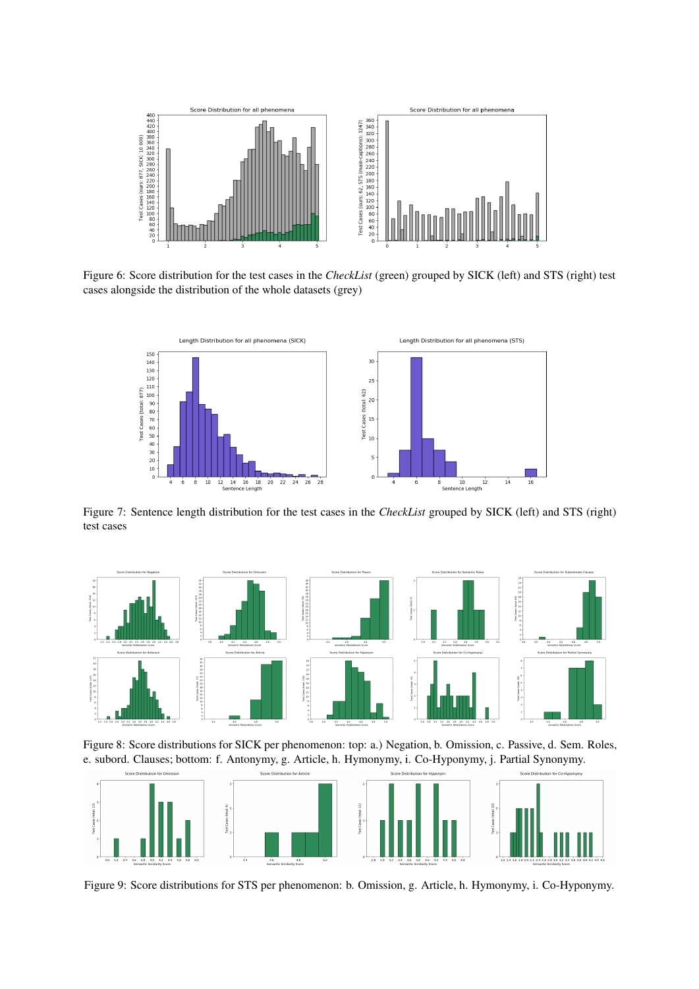

Figure 6: Score distribution for the test cases in the *CheckList* (green) grouped by SICK (left) and STS (right) test cases alongside the distribution of the whole datasets (grey)

<span id="page-13-0"></span>

Figure 7: Sentence length distribution for the test cases in the *CheckList* grouped by SICK (left) and STS (right) test cases



Figure 8: Score distributions for SICK per phenomenon: top: a.) Negation, b. Omission, c. Passive, d. Sem. Roles, e. subord. Clauses; bottom: f. Antonymy, g. Article, h. Hymonymy, i. Co-Hyponymy, j. Partial Synonymy.



Figure 9: Score distributions for STS per phenomenon: b. Omission, g. Article, h. Hymonymy, i. Co-Hyponymy.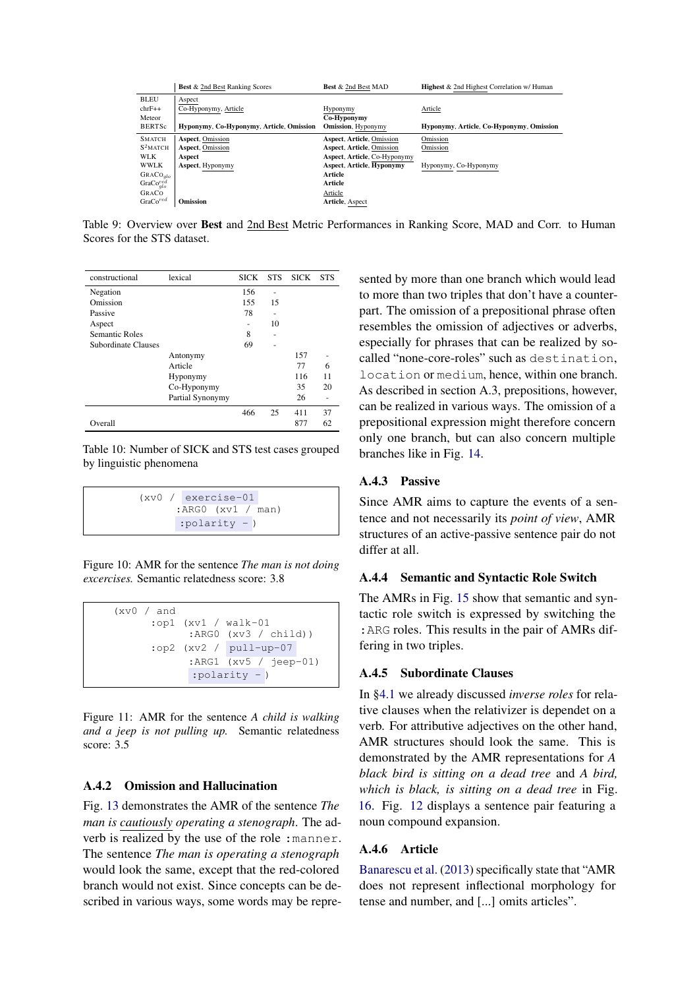<span id="page-14-5"></span>

|                                     | <b>Best</b> & 2nd Best Ranking Scores    | <b>Best</b> & 2nd Best MAD       | <b>Highest &amp; 2nd Highest Correlation w/ Human</b> |
|-------------------------------------|------------------------------------------|----------------------------------|-------------------------------------------------------|
| <b>BLEU</b>                         | Aspect                                   |                                  |                                                       |
| $chrF++$                            | Co-Hyponymy, Article                     | Hyponymy                         | Article                                               |
| Meteor                              |                                          | Co-Hyponymy                      |                                                       |
| <b>BERTSc</b>                       | Hyponymy, Co-Hyponymy, Article, Omission | <b>Omission</b> , Hyponymy       | Hyponymy, Article, Co-Hyponymy, Omission              |
| <b>SMATCH</b>                       | <b>Aspect, Omission</b>                  | Aspect, Article, Omission        | Omission                                              |
| $S^2$ MATCH                         | <b>Aspect, Omission</b>                  | Aspect, Article, Omission        | Omission                                              |
| <b>WLK</b>                          | Aspect                                   | Aspect, Article, Co-Hyponymy     |                                                       |
| <b>WWLK</b>                         | Aspect, Hyponymy                         | <b>Aspect, Article, Hyponymy</b> | Hyponymy, Co-Hyponymy                                 |
| GRACO <sub>alo</sub>                |                                          | Article                          |                                                       |
| GraCo <sub>qlo</sub> <sup>red</sup> |                                          | Article                          |                                                       |
| GRACO                               |                                          | Article                          |                                                       |
| GraCo <sup>red</sup>                | <b>Omission</b>                          | Article, Aspect                  |                                                       |

Table 9: Overview over Best and 2nd Best Metric Performances in Ranking Score, MAD and Corr. to Human Scores for the STS dataset.

| constructional      | lexical          | <b>SICK</b> | <b>STS</b> | <b>SICK</b> | <b>STS</b> |
|---------------------|------------------|-------------|------------|-------------|------------|
| Negation            |                  | 156         | -          |             |            |
| Omission            |                  | 155         | 15         |             |            |
| Passive             |                  | 78          | ٠          |             |            |
| Aspect              |                  |             | 10         |             |            |
| Semantic Roles      |                  | 8           | -          |             |            |
| Subordinate Clauses |                  | 69          |            |             |            |
|                     | Antonymy         |             |            | 157         |            |
|                     | Article          |             |            | 77          | 6          |
|                     | Hyponymy         |             |            | 116         | 11         |
|                     | Co-Hyponymy      |             |            | 35          | 20         |
|                     | Partial Synonymy |             |            | 26          | -          |
|                     |                  | 466         | 25         | 411         | 37         |
| Overall             |                  |             |            | 877         | 62         |

Table 10: Number of SICK and STS test cases grouped by linguistic phenomena

```
(xv0 / exercise-01
  :ARG0 (xv1 / man)
  :polarity - )
```
Figure 10: AMR for the sentence *The man is not doing excercises.* Semantic relatedness score: 3.8

```
(xv0 / and
  :op1 (xv1 / walk-01
         :ARG0 (xv3 / child))
   :op2 (xv2 / pull-up-07
         :ARG1 (xv5 / jeep-01)
         :polarity - )
```
Figure 11: AMR for the sentence *A child is walking and a jeep is not pulling up.* Semantic relatedness score: 3.5

### <span id="page-14-2"></span>A.4.2 Omission and Hallucination

Fig. [13](#page-15-0) demonstrates the AMR of the sentence *The man is cautiously operating a stenograph*. The adverb is realized by the use of the role :manner. The sentence *The man is operating a stenograph* would look the same, except that the red-colored branch would not exist. Since concepts can be described in various ways, some words may be represented by more than one branch which would lead to more than two triples that don't have a counterpart. The omission of a prepositional phrase often resembles the omission of adjectives or adverbs, especially for phrases that can be realized by socalled "none-core-roles" such as destination, location or medium, hence, within one branch. As described in section A.3, prepositions, however, can be realized in various ways. The omission of a prepositional expression might therefore concern only one branch, but can also concern multiple branches like in Fig. [14.](#page-15-5)

# A.4.3 Passive

Since AMR aims to capture the events of a sentence and not necessarily its *point of view*, AMR structures of an active-passive sentence pair do not differ at all.

### <span id="page-14-3"></span>A.4.4 Semantic and Syntactic Role Switch

The AMRs in Fig. [15](#page-15-1) show that semantic and syntactic role switch is expressed by switching the :ARG roles. This results in the pair of AMRs differing in two triples.

### <span id="page-14-4"></span>A.4.5 Subordinate Clauses

In [§4.1](#page-4-3) we already discussed *inverse roles* for relative clauses when the relativizer is dependet on a verb. For attributive adjectives on the other hand, AMR structures should look the same. This is demonstrated by the AMR representations for *A black bird is sitting on a dead tree* and *A bird, which is black, is sitting on a dead tree* in Fig. [16.](#page-15-6) Fig. [12](#page-15-2) displays a sentence pair featuring a noun compound expansion.

#### A.4.6 Article

[Banarescu et al.](#page-9-0) [\(2013\)](#page-9-0) specifically state that "AMR does not represent inflectional morphology for tense and number, and [...] omits articles".